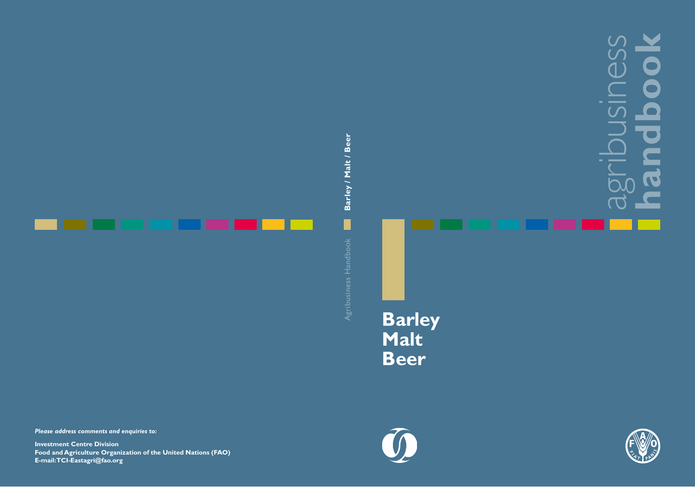# **handbook** agribusiness  $\bullet$ O D





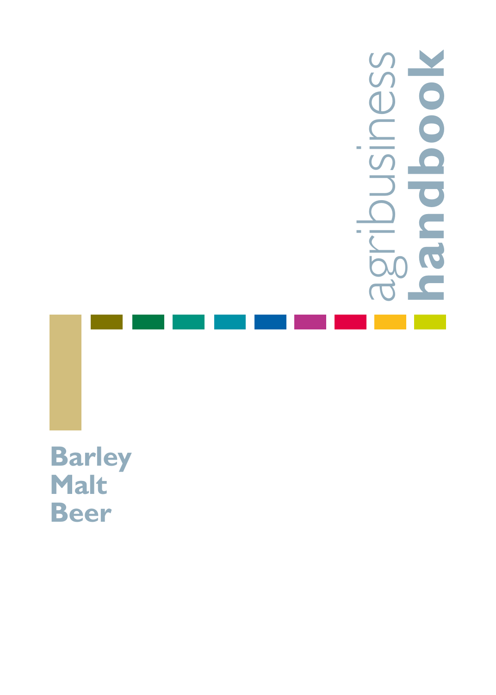# agribusiness **handbook**O C

**Barley Malt Beer**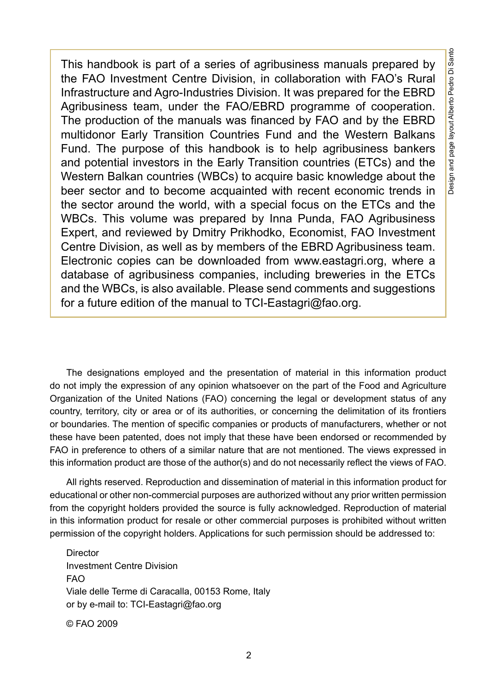This handbook is part of a series of agribusiness manuals prepared by the FAO Investment Centre Division, in collaboration with FAO's Rural Infrastructure and Agro-Industries Division. It was prepared for the EBRD Agribusiness team, under the FAO/EBRD programme of cooperation. The production of the manuals was financed by FAO and by the EBRD multidonor Early Transition Countries Fund and the Western Balkans Fund. The purpose of this handbook is to help agribusiness bankers and potential investors in the Early Transition countries (ETCs) and the Western Balkan countries (WBCs) to acquire basic knowledge about the beer sector and to become acquainted with recent economic trends in the sector around the world, with a special focus on the ETCs and the WBCs. This volume was prepared by Inna Punda, FAO Agribusiness Expert, and reviewed by Dmitry Prikhodko, Economist, FAO Investment Centre Division, as well as by members of the EBRD Agribusiness team. Electronic copies can be downloaded from www.eastagri.org, where a database of agribusiness companies, including breweries in the ETCs and the WBCs, is also available. Please send comments and suggestions for a future edition of the manual to TCI-Eastagri@fao.org.

The designations employed and the presentation of material in this information product do not imply the expression of any opinion whatsoever on the part of the Food and Agriculture Organization of the United Nations (FAO) concerning the legal or development status of any country, territory, city or area or of its authorities, or concerning the delimitation of its frontiers or boundaries. The mention of specific companies or products of manufacturers, whether or not these have been patented, does not imply that these have been endorsed or recommended by FAO in preference to others of a similar nature that are not mentioned. The views expressed in this information product are those of the author(s) and do not necessarily reflect the views of FAO.

All rights reserved. Reproduction and dissemination of material in this information product for educational or other non-commercial purposes are authorized without any prior written permission from the copyright holders provided the source is fully acknowledged. Reproduction of material in this information product for resale or other commercial purposes is prohibited without written permission of the copyright holders. Applications for such permission should be addressed to:

**Director** Investment Centre Division FAO Viale delle Terme di Caracalla, 00153 Rome, Italy or by e-mail to: TCI-Eastagri@fao.org

© FAO 2009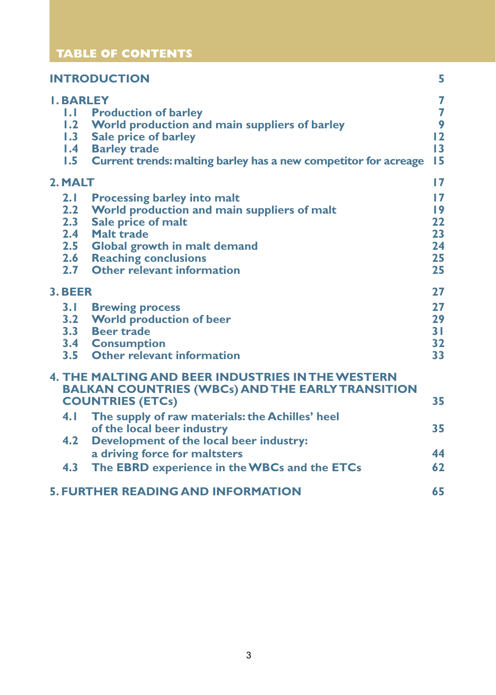# **TABLE OF CONTENTS**

| <b>INTRODUCTION</b>                                                                                                                                                                                                                                                                      | 5                                                   |
|------------------------------------------------------------------------------------------------------------------------------------------------------------------------------------------------------------------------------------------------------------------------------------------|-----------------------------------------------------|
| <b>I.BARLEY</b><br><b>1.1 Production of barley</b><br>1.2 World production and main suppliers of barley<br>1.3<br>Sale price of barley<br>$\mathsf{I}$ .4<br><b>Barley trade</b><br>1.5<br><b>Current trends: malting barley has a new competitor for acreage</b>                        | 7<br>7<br>9<br>12<br>$\overline{13}$<br>15          |
| 2. MALT                                                                                                                                                                                                                                                                                  | 17                                                  |
| 2.1<br><b>Processing barley into malt</b><br>2.2<br>World production and main suppliers of malt<br>2.3<br>Sale price of malt<br>2.4<br><b>Malt trade</b><br>2.5<br><b>Global growth in malt demand</b><br>2.6<br><b>Reaching conclusions</b><br><b>Other relevant information</b><br>2.7 | $\overline{17}$<br>19<br>22<br>23<br>24<br>25<br>25 |
| 3. BEER                                                                                                                                                                                                                                                                                  | 27                                                  |
| 3.1<br><b>Brewing process</b><br>3.2<br><b>World production of beer</b><br>3.3 Beer trade<br>3.4 Consumption<br>3.5<br><b>Other relevant information</b>                                                                                                                                 | 27<br>29<br>3 <sub>1</sub><br>32<br>33              |
| 4. THE MALTING AND BEER INDUSTRIES IN THE WESTERN<br><b>BALKAN COUNTRIES (WBCs) AND THE EARLY TRANSITION</b><br><b>COUNTRIES (ETCs)</b>                                                                                                                                                  | 35                                                  |
| 4.1 The supply of raw materials: the Achilles' heel<br>of the local beer industry<br>4.2                                                                                                                                                                                                 | 35                                                  |
| Development of the local beer industry:<br>a driving force for maltsters<br>4.3<br>The EBRD experience in the WBCs and the ETCs                                                                                                                                                          | 44<br>62                                            |
| <b>5. FURTHER READING AND INFORMATION</b>                                                                                                                                                                                                                                                | 65                                                  |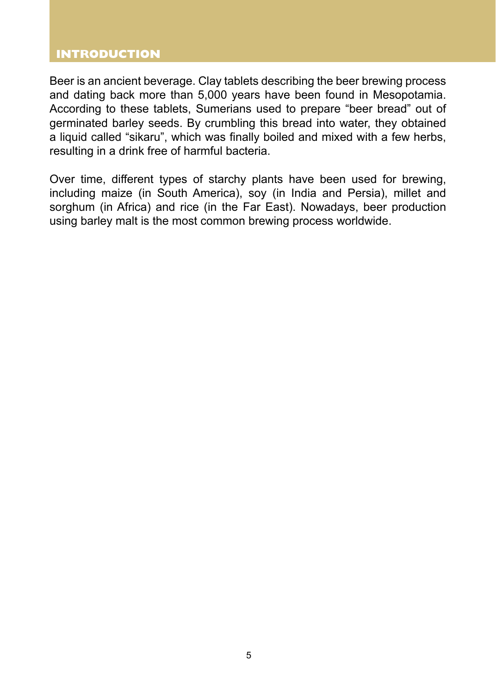# **Introduction**

Beer is an ancient beverage. Clay tablets describing the beer brewing process and dating back more than 5,000 years have been found in Mesopotamia. According to these tablets, Sumerians used to prepare "beer bread" out of germinated barley seeds. By crumbling this bread into water, they obtained a liquid called "sikaru", which was finally boiled and mixed with a few herbs, resulting in a drink free of harmful bacteria.

Over time, different types of starchy plants have been used for brewing, including maize (in South America), soy (in India and Persia), millet and sorghum (in Africa) and rice (in the Far East). Nowadays, beer production using barley malt is the most common brewing process worldwide.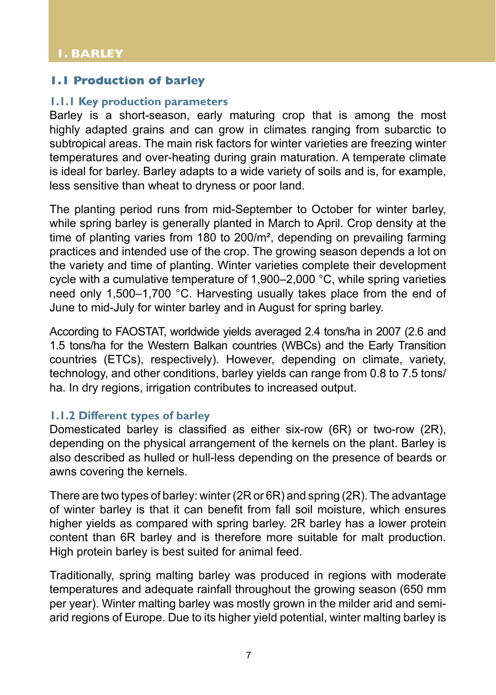# **1.1 Production of barley**

#### **1.1.1 Key production parameters**

Barley is a short-season, early maturing crop that is among the most highly adapted grains and can grow in climates ranging from subarctic to subtropical areas. The main risk factors for winter varieties are freezing winter temperatures and over-heating during grain maturation. A temperate climate is ideal for barley. Barley adapts to a wide variety of soils and is, for example, less sensitive than wheat to dryness or poor land.

The planting period runs from mid-September to October for winter barley, while spring barley is generally planted in March to April. Crop density at the time of planting varies from 180 to 200/m², depending on prevailing farming practices and intended use of the crop. The growing season depends a lot on the variety and time of planting. Winter varieties complete their development cycle with a cumulative temperature of 1,900–2,000 °C, while spring varieties need only 1,500–1,700 °C. Harvesting usually takes place from the end of June to mid-July for winter barley and in August for spring barley.

According to FAOSTAT, worldwide yields averaged 2.4 tons/ha in 2007 (2.6 and 1.5 tons/ha for the Western Balkan countries (WBCs) and the Early Transition countries (ETCs), respectively). However, depending on climate, variety, technology, and other conditions, barley yields can range from 0.8 to 7.5 tons/ ha. In dry regions, irrigation contributes to increased output.

#### **1.1.2 Different types of barley**

Domesticated barley is classified as either six-row (6R) or two-row (2R), depending on the physical arrangement of the kernels on the plant. Barley is also described as hulled or hull-less depending on the presence of beards or awns covering the kernels.

There are two types of barley: winter (2R or 6R) and spring (2R). The advantage of winter barley is that it can benefit from fall soil moisture, which ensures higher yields as compared with spring barley. 2R barley has a lower protein content than 6R barley and is therefore more suitable for malt production. High protein barley is best suited for animal feed.

Traditionally, spring malting barley was produced in regions with moderate temperatures and adequate rainfall throughout the growing season (650 mm per year). Winter malting barley was mostly grown in the milder arid and semiarid regions of Europe. Due to its higher yield potential, winter malting barley is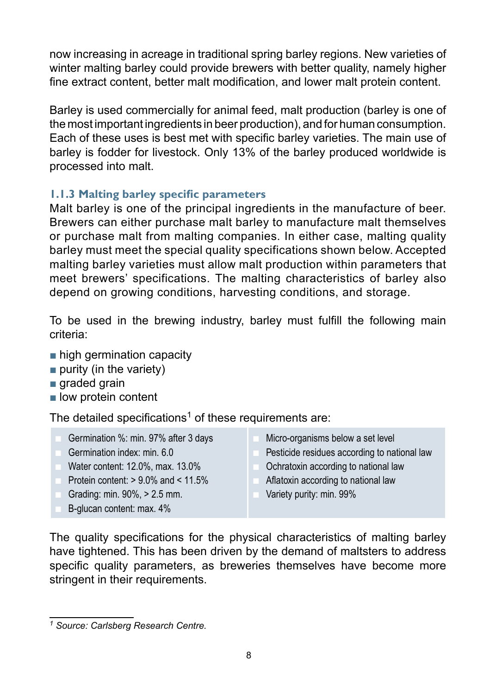now increasing in acreage in traditional spring barley regions. New varieties of winter malting barley could provide brewers with better quality, namely higher fine extract content, better malt modification, and lower malt protein content.

Barley is used commercially for animal feed, malt production (barley is one of the most important ingredients in beer production), and for human consumption. Each of these uses is best met with specific barley varieties. The main use of barley is fodder for livestock. Only 13% of the barley produced worldwide is processed into malt.

# **1.1.3 Malting barley specific parameters**

Malt barley is one of the principal ingredients in the manufacture of beer. Brewers can either purchase malt barley to manufacture malt themselves or purchase malt from malting companies. In either case, malting quality barley must meet the special quality specifications shown below. Accepted malting barley varieties must allow malt production within parameters that meet brewers' specifications. The malting characteristics of barley also depend on growing conditions, harvesting conditions, and storage.

To be used in the brewing industry, barley must fulfill the following main criteria:

- high germination capacity
- $\blacksquare$  purity (in the variety)
- graded grain
- low protein content

The detailed specifications<sup>1</sup> of these requirements are:

- Germination %: min. 97% after 3 days
- Germination index: min. 6.0
- Water content: 12.0%, max. 13.0%
- Protein content:  $> 9.0\%$  and  $< 11.5\%$
- Grading: min. 90%, > 2.5 mm.
- B-glucan content: max. 4%
- Micro-organisms below a set level
- Pesticide residues according to national law
- Ochratoxin according to national law
- Aflatoxin according to national law
- Variety purity: min. 99%

The quality specifications for the physical characteristics of malting barley have tightened. This has been driven by the demand of maltsters to address specific quality parameters, as breweries themselves have become more stringent in their requirements.

*<sup>1</sup> Source: Carlsberg Research Centre.*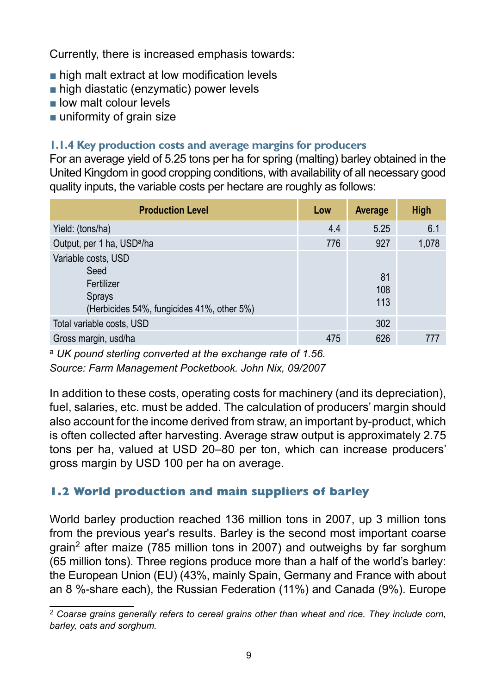Currently, there is increased emphasis towards:

- high malt extract at low modification levels
- high diastatic (enzymatic) power levels
- low malt colour levels
- uniformity of grain size

# **1.1.4 Key production costs and average margins for producers**

For an average yield of 5.25 tons per ha for spring (malting) barley obtained in the United Kingdom in good cropping conditions, with availability of all necessary good quality inputs, the variable costs per hectare are roughly as follows:

| <b>Production Level</b>                                                                                  | Low | Average          | <b>High</b> |
|----------------------------------------------------------------------------------------------------------|-----|------------------|-------------|
| Yield: (tons/ha)                                                                                         | 4.4 | 5.25             | 6.1         |
| Output, per 1 ha, USD <sup>a</sup> /ha                                                                   | 776 | 927              | 1,078       |
| Variable costs, USD<br>Seed<br>Fertilizer<br><b>Sprays</b><br>(Herbicides 54%, fungicides 41%, other 5%) |     | 81<br>108<br>113 |             |
| Total variable costs, USD                                                                                |     | 302              |             |
| Gross margin, usd/ha                                                                                     | 475 | 626              | 777         |

<sup>a</sup> *UK pound sterling converted at the exchange rate of 1.56. Source: Farm Management Pocketbook. John Nix, 09/2007*

In addition to these costs, operating costs for machinery (and its depreciation), fuel, salaries, etc. must be added. The calculation of producers' margin should also account for the income derived from straw, an important by-product, which is often collected after harvesting. Average straw output is approximately 2.75 tons per ha, valued at USD 20–80 per ton, which can increase producers' gross margin by USD 100 per ha on average.

# **1.2 World production and main suppliers of barley**

World barley production reached 136 million tons in 2007, up 3 million tons from the previous year's results. Barley is the second most important coarse grain2 after maize (785 million tons in 2007) and outweighs by far sorghum (65 million tons). Three regions produce more than a half of the world's barley: the European Union (EU) (43%, mainly Spain, Germany and France with about an 8 %-share each), the Russian Federation (11%) and Canada (9%). Europe

*<sup>2</sup> Coarse grains generally refers to cereal grains other than wheat and rice. They include corn, barley, oats and sorghum.*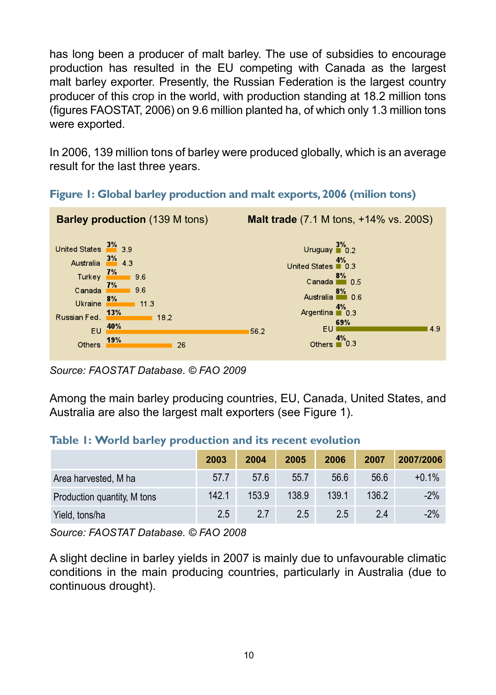has long been a producer of malt barley. The use of subsidies to encourage production has resulted in the EU competing with Canada as the largest malt barley exporter. Presently, the Russian Federation is the largest country producer of this crop in the world, with production standing at 18.2 million tons (figures FAOSTAT, 2006) on 9.6 million planted ha, of which only 1.3 million tons were exported.

In 2006, 139 million tons of barley were produced globally, which is an average result for the last three years.



**Figure 1: Global barley production and malt exports, 2006 (milion tons)**

*Source: FAOSTAT Database. © FAO 2009*

Among the main barley producing countries, EU, Canada, United States, and Australia are also the largest malt exporters (see Figure 1).

# **Table 1: World barley production and its recent evolution**

|                             | 2003  | 2004  | 2005  | 2006  | 2007  | 2007/2006 |
|-----------------------------|-------|-------|-------|-------|-------|-----------|
| Area harvested, M ha        | 57.7  | 57.6  | 55.7  | 56.6  | 56.6  | $+0.1%$   |
| Production quantity, M tons | 142.1 | 153.9 | 138.9 | 139.1 | 136.2 | $-2%$     |
| Yield, tons/ha              | 2.5   | 2.7   | 2.5   | 2.5   | 2.4   | $-2%$     |

*Source: FAOSTAT Database. © FAO 2008*

A slight decline in barley yields in 2007 is mainly due to unfavourable climatic conditions in the main producing countries, particularly in Australia (due to continuous drought).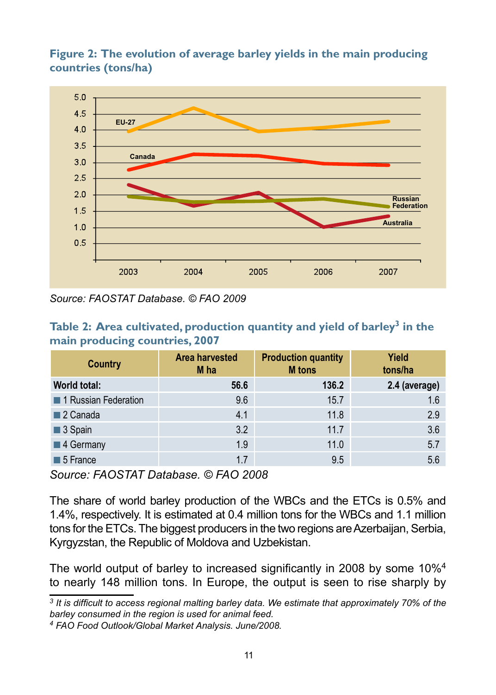**Figure 2: The evolution of average barley yields in the main producing countries (tons/ha)**



*Source: FAOSTAT Database. © FAO 2009*

| Table 2: Area cultivated, production quantity and yield of barley <sup>3</sup> in the |  |  |
|---------------------------------------------------------------------------------------|--|--|
| main producing countries, 2007                                                        |  |  |

| Country                 | Area harvested<br>M ha | <b>Production quantity</b><br><b>M</b> tons | Yield<br>tons/ha |
|-------------------------|------------------------|---------------------------------------------|------------------|
| World total:            | 56.6                   | 136.2                                       | 2.4 (average)    |
| 1 Russian Federation    | 9.6                    | 15.7                                        | 1.6              |
| $\blacksquare$ 2 Canada | 4.1                    | 11.8                                        | 2.9              |
| 3 Spain                 | 3.2                    | 11.7                                        | 3.6              |
| ■4 Germany              | 1.9                    | 11.0                                        | 5.7              |
| <b>5</b> France         | 1.7                    | 9.5                                         | 5.6              |

*Source: FAOSTAT Database. © FAO 2008*

The share of world barley production of the WBCs and the ETCs is 0.5% and 1.4%, respectively. It is estimated at 0.4 million tons for the WBCs and 1.1 million tons for the ETCs. The biggest producers in the two regions are Azerbaijan, Serbia, Kyrgyzstan, the Republic of Moldova and Uzbekistan.

The world output of barley to increased significantly in 2008 by some 10%<sup>4</sup> to nearly 148 million tons. In Europe, the output is seen to rise sharply by

*<sup>3</sup> It is difficult to access regional malting barley data. We estimate that approximately 70% of the barley consumed in the region is used for animal feed.* 

*<sup>4</sup> FAO Food Outlook/Global Market Analysis. June/2008.*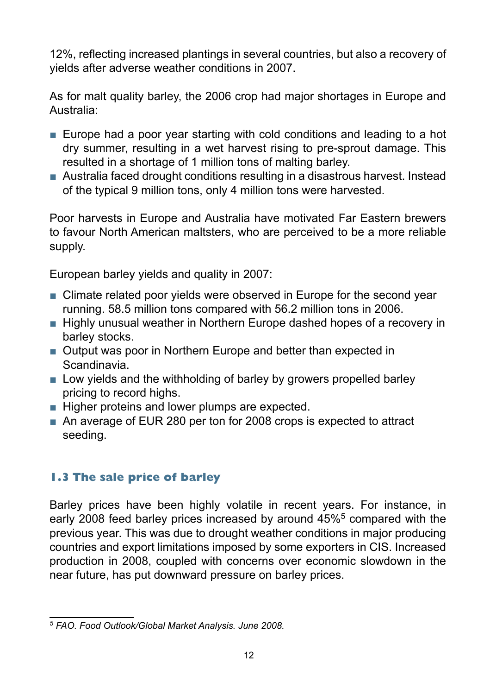12%, reflecting increased plantings in several countries, but also a recovery of yields after adverse weather conditions in 2007.

As for malt quality barley, the 2006 crop had major shortages in Europe and Australia:

- Europe had a poor year starting with cold conditions and leading to a hot dry summer, resulting in a wet harvest rising to pre-sprout damage. This resulted in a shortage of 1 million tons of malting barley.
- Australia faced drought conditions resulting in a disastrous harvest. Instead of the typical 9 million tons, only 4 million tons were harvested.

Poor harvests in Europe and Australia have motivated Far Eastern brewers to favour North American maltsters, who are perceived to be a more reliable supply.

European barley yields and quality in 2007:

- Climate related poor vields were observed in Europe for the second year running. 58.5 million tons compared with 56.2 million tons in 2006.
- Highly unusual weather in Northern Europe dashed hopes of a recovery in barley stocks.
- Output was poor in Northern Europe and better than expected in Scandinavia.
- Low vields and the withholding of barley by growers propelled barley pricing to record highs.
- Higher proteins and lower plumps are expected.
- An average of EUR 280 per ton for 2008 crops is expected to attract seeding.

# **1.3 The sale price of barley**

Barley prices have been highly volatile in recent years. For instance, in early 2008 feed barley prices increased by around 45%<sup>5</sup> compared with the previous year. This was due to drought weather conditions in major producing countries and export limitations imposed by some exporters in CIS. Increased production in 2008, coupled with concerns over economic slowdown in the near future, has put downward pressure on barley prices.

*<sup>5</sup> FAO. Food Outlook/Global Market Analysis. June 2008.*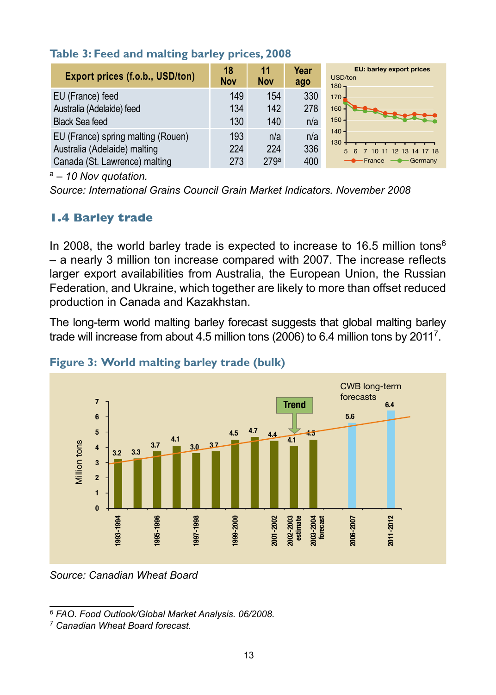| Export prices (f.o.b., USD/ton)    | 18<br><b>Nov</b> | 11<br><b>Nov</b> | Year<br>ago | EU: barley export prices<br>USD/ton<br>$180 -$ |
|------------------------------------|------------------|------------------|-------------|------------------------------------------------|
| EU (France) feed                   | 149              | 154              | 330         | $170 -$                                        |
| Australia (Adelaide) feed          | 134              | 142              | 278         | $160 -$<br><b>Change</b>                       |
| <b>Black Sea feed</b>              | 130              | 140              | n/a         | $150 -$                                        |
| EU (France) spring malting (Rouen) | 193              | n/a              | n/a         | $140 -$                                        |
| Australia (Adelaide) malting       | 224              | 224              | 336         | 130<br>7 10 11 12 13 14 17 18                  |
| Canada (St. Lawrence) malting      | 273              | 279a             | 400         | - France - Germany                             |

# **Table 3: Feed and malting barley prices, 2008**

a – *10 Nov quotation.*

*Source: International Grains Council Grain Market Indicators. November 2008* 

# **1.4 Barley trade**

In 2008, the world barley trade is expected to increase to 16.5 million tons<sup>6</sup> – a nearly 3 million ton increase compared with 2007. The increase reflects larger export availabilities from Australia, the European Union, the Russian Federation, and Ukraine, which together are likely to more than offset reduced production in Canada and Kazakhstan.

The long-term world malting barley forecast suggests that global malting barley trade will increase from about 4.5 million tons (2006) to 6.4 million tons by 20117.



# **Figure 3: World malting barley trade (bulk)**

*Source: Canadian Wheat Board* 

*6 FAO. Food Outlook/Global Market Analysis. 06/2008.*

*<sup>7</sup> Canadian Wheat Board forecast.*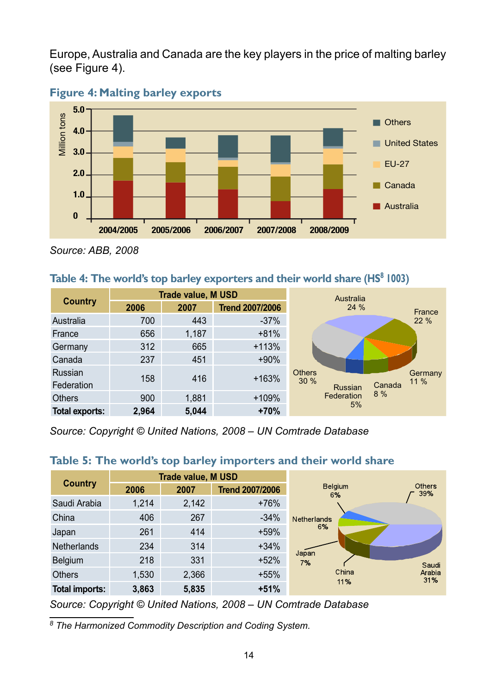Europe, Australia and Canada are the key players in the price of malting barley (see Figure 4).



#### **Figure 4: Malting barley exports**

*Source: ABB, 2008* 

#### **Table 4: The world's top barley exporters and their world share (HS<sup>8</sup> 1003)**

|                       | Trade value, M USD |       |                        | Australia                                        |                 |
|-----------------------|--------------------|-------|------------------------|--------------------------------------------------|-----------------|
| <b>Country</b>        | 2006               | 2007  | <b>Trend 2007/2006</b> | 24 %                                             | France          |
| Australia             | 700                | 443   | $-37%$                 |                                                  | 22 %            |
| France                | 656                | 1,187 | $+81%$                 |                                                  |                 |
| Germany               | 312                | 665   | $+113%$                |                                                  |                 |
| Canada                | 237                | 451   | $+90%$                 |                                                  |                 |
| Russian<br>Federation | 158                | 416   | $+163%$                | <b>Others</b><br>30%<br>Canada<br><b>Russian</b> | Germany<br>11 % |
| <b>Others</b>         | 900                | 1,881 | $+109%$                | 8%<br>Federation                                 |                 |
| Total exports:        | 2.964              | 5.044 | $+70%$                 | 5%                                               |                 |

*Source: Copyright © United Nations, 2008 – UN Comtrade Database*

#### **Country Trade value, M USD**<br>2006 **2007 Trend Belaium** Others **2006 2007 Trend 2007/2006** 39%  $6%$ Saudi Arabia 1,214 2,142 +76% China 406 267 -34% Netherlands  $6%$ Japan 261 414 +59% Netherlands 234 314 +34%  $Ja\nu$ an Belgium 218 331 +52%  $7%$ Saudi China Arabia Others 1,530 2,366 +55%  $31%$ 11% **Total imports: 3,863 5,835 +51%**

#### **Table 5: The world's top barley importers and their world share**

*Source: Copyright © United Nations, 2008 – UN Comtrade Database*

*8 The Harmonized Commodity Description and Coding System.*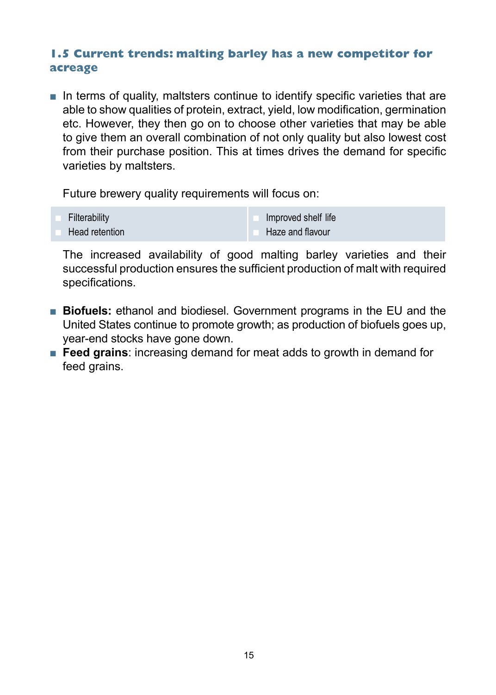# **1.5 Current trends: malting barley has a new competitor for acreage**

■ In terms of quality, maltsters continue to identify specific varieties that are able to show qualities of protein, extract, yield, low modification, germination etc. However, they then go on to choose other varieties that may be able to give them an overall combination of not only quality but also lowest cost from their purchase position. This at times drives the demand for specific varieties by maltsters.

Future brewery quality requirements will focus on:

- **Filterability**
- Head retention

Improved shelf life Haze and flavour

The increased availability of good malting barley varieties and their successful production ensures the sufficient production of malt with required specifications.

- **Biofuels:** ethanol and biodiesel. Government programs in the EU and the United States continue to promote growth; as production of biofuels goes up, year-end stocks have gone down.
- **Feed grains**: increasing demand for meat adds to growth in demand for feed grains.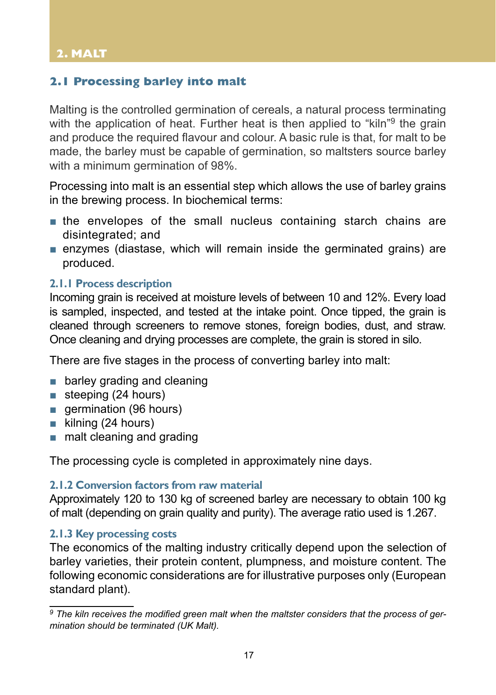# **2.1 Processing barley into malt**

Malting is the controlled germination of cereals, a natural process terminating with the application of heat. Further heat is then applied to "kiln"<sup>9</sup> the grain and produce the required flavour and colour. A basic rule is that, for malt to be made, the barley must be capable of germination, so maltsters source barley with a minimum germination of 98%.

Processing into malt is an essential step which allows the use of barley grains in the brewing process. In biochemical terms:

- the envelopes of the small nucleus containing starch chains are disintegrated; and
- enzymes (diastase, which will remain inside the germinated grains) are produced.

### **2.1.1 Process description**

Incoming grain is received at moisture levels of between 10 and 12%. Every load is sampled, inspected, and tested at the intake point. Once tipped, the grain is cleaned through screeners to remove stones, foreign bodies, dust, and straw. Once cleaning and drying processes are complete, the grain is stored in silo.

There are five stages in the process of converting barley into malt:

- barley grading and cleaning
- steeping (24 hours)
- germination (96 hours)
- kilning (24 hours)
- malt cleaning and grading

The processing cycle is completed in approximately nine days.

#### **2.1.2 Conversion factors from raw material**

Approximately 120 to 130 kg of screened barley are necessary to obtain 100 kg of malt (depending on grain quality and purity). The average ratio used is 1.267.

#### **2.1.3 Key processing costs**

The economics of the malting industry critically depend upon the selection of barley varieties, their protein content, plumpness, and moisture content. The following economic considerations are for illustrative purposes only (European standard plant).

*<sup>9</sup> The kiln receives the modified green malt when the maltster considers that the process of germination should be terminated (UK Malt).*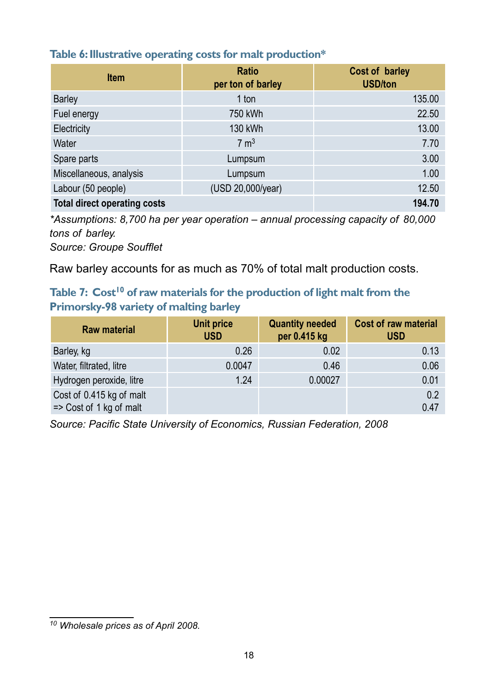# **Table 6: Illustrative operating costs for malt production\***

| <b>Item</b>                         | <b>Ratio</b><br>per ton of barley | Cost of barley<br><b>USD/ton</b> |
|-------------------------------------|-----------------------------------|----------------------------------|
| <b>Barley</b>                       | 1 ton                             | 135.00                           |
| Fuel energy                         | 750 kWh                           | 22.50                            |
| Electricity                         | 130 kWh                           | 13.00                            |
| Water                               | $7 \text{ m}^3$                   | 7.70                             |
| Spare parts                         | Lumpsum                           | 3.00                             |
| Miscellaneous, analysis             | Lumpsum                           | 1.00                             |
| Labour (50 people)                  | (USD 20,000/year)                 | 12.50                            |
| <b>Total direct operating costs</b> |                                   | 194.70                           |

*\*Assumptions: 8,700 ha per year operation – annual processing capacity of 80,000 tons of barley.*

*Source: Groupe Soufflet* 

Raw barley accounts for as much as 70% of total malt production costs.

# Table 7: Cost<sup>10</sup> of raw materials for the production of light malt from the **Primorsky-98 variety of malting barley**

| Raw material                                        | Unit price<br><b>USD</b> | <b>Quantity needed</b><br>per 0.415 kg | <b>Cost of raw material</b><br><b>USD</b> |
|-----------------------------------------------------|--------------------------|----------------------------------------|-------------------------------------------|
| Barley, kg                                          | 0.26                     | 0.02                                   | 0.13                                      |
| Water, filtrated, litre                             | 0.0047                   | 0.46                                   | 0.06                                      |
| Hydrogen peroxide, litre                            | 1.24                     | 0.00027                                | 0.01                                      |
| Cost of 0.415 kg of malt<br>=> Cost of 1 kg of malt |                          |                                        | 0.2<br>0.47                               |

*Source: Pacific State University of Economics, Russian Federation, 2008*

*<sup>10</sup> Wholesale prices as of April 2008.*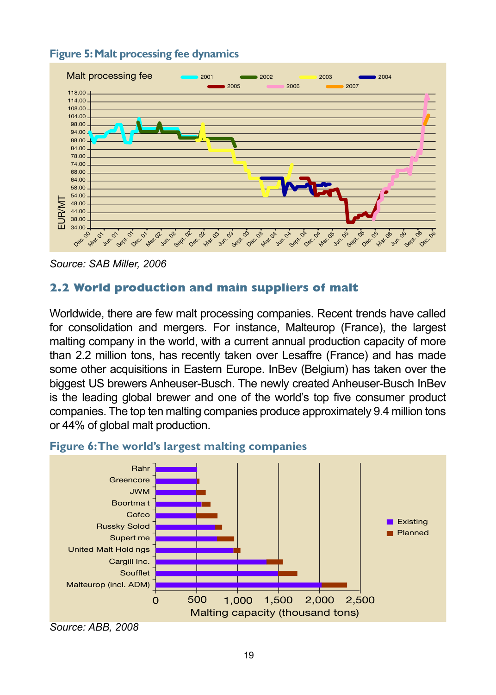

# **Figure 5: Malt processing fee dynamics**

*Source: SAB Miller, 2006*

# **2.2 World production and main suppliers of malt**

Worldwide, there are few malt processing companies. Recent trends have called for consolidation and mergers. For instance, Malteurop (France), the largest malting company in the world, with a current annual production capacity of more than 2.2 million tons, has recently taken over Lesaffre (France) and has made some other acquisitions in Eastern Europe. InBev (Belgium) has taken over the biggest US brewers Anheuser-Busch. The newly created Anheuser-Busch InBev is the leading global brewer and one of the world's top five consumer product companies. The top ten malting companies produce approximately 9.4 million tons or 44% of global malt production.



#### **Figure 6: The world's largest malting companies**

*Source: ABB, 2008*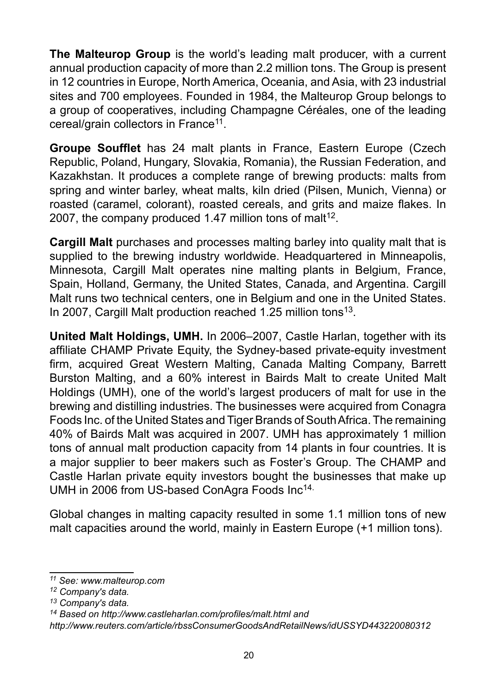**The Malteurop Group** is the world's leading malt producer, with a current annual production capacity of more than 2.2 million tons. The Group is present in 12 countries in Europe, North America, Oceania, and Asia, with 23 industrial sites and 700 employees. Founded in 1984, the Malteurop Group belongs to a group of cooperatives, including Champagne Céréales, one of the leading cereal/grain collectors in France11.

**Groupe Soufflet** has 24 malt plants in France, Eastern Europe (Czech Republic, Poland, Hungary, Slovakia, Romania), the Russian Federation, and Kazakhstan. It produces a complete range of brewing products: malts from spring and winter barley, wheat malts, kiln dried (Pilsen, Munich, Vienna) or roasted (caramel, colorant), roasted cereals, and grits and maize flakes. In 2007, the company produced 1.47 million tons of malt<sup>12</sup>.

**Cargill Malt** purchases and processes malting barley into quality malt that is supplied to the brewing industry worldwide. Headquartered in Minneapolis, Minnesota, Cargill Malt operates nine malting plants in Belgium, France, Spain, Holland, Germany, the United States, Canada, and Argentina. Cargill Malt runs two technical centers, one in Belgium and one in the United States. In 2007, Cargill Malt production reached 1.25 million tons<sup>13</sup>.

**United Malt Holdings, UMH.** In 2006–2007, Castle Harlan, together with its affiliate CHAMP Private Equity, the Sydney-based private-equity investment firm, acquired Great Western Malting, Canada Malting Company, Barrett Burston Malting, and a 60% interest in Bairds Malt to create United Malt Holdings (UMH), one of the world's largest producers of malt for use in the brewing and distilling industries. The businesses were acquired from Conagra Foods Inc. of the United States and Tiger Brands of South Africa. The remaining 40% of Bairds Malt was acquired in 2007. UMH has approximately 1 million tons of annual malt production capacity from 14 plants in four countries. It is a major supplier to beer makers such as Foster's Group. The CHAMP and Castle Harlan private equity investors bought the businesses that make up UMH in 2006 from US-based ConAgra Foods Inc<sup>14.</sup>

Global changes in malting capacity resulted in some 1.1 million tons of new malt capacities around the world, mainly in Eastern Europe (+1 million tons).

*<sup>11</sup> See: www.malteurop.com* 

*<sup>12</sup> Company's data.*

*<sup>13</sup> Company's data.*

*<sup>14</sup> Based on http://www.castleharlan.com/profiles/malt.html and* 

*http://www.reuters.com/article/rbssConsumerGoodsAndRetailNews/idUSSYD443220080312*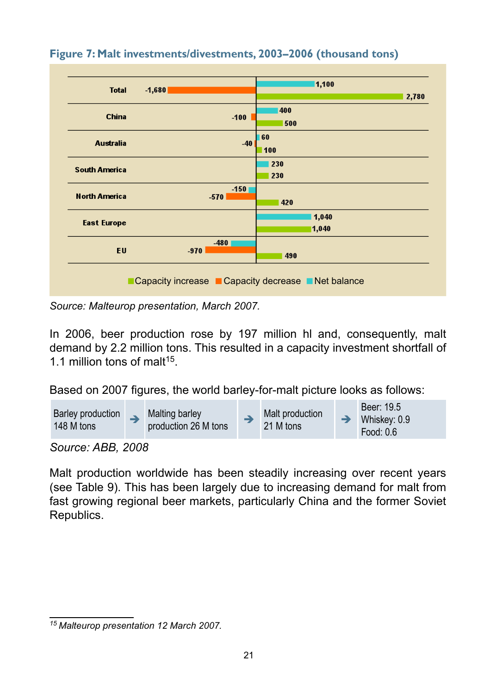

# **Figure 7: Malt investments/divestments, 2003–2006 (thousand tons)**

*Source: Malteurop presentation, March 2007.*

In 2006, beer production rose by 197 million hl and, consequently, malt demand by 2.2 million tons. This resulted in a capacity investment shortfall of 1.1 million tons of malt<sup>15</sup>

Based on 2007 figures, the world barley-for-malt picture looks as follows:



*Source: ABB, 2008*

Malt production worldwide has been steadily increasing over recent years (see Table 9). This has been largely due to increasing demand for malt from fast growing regional beer markets, particularly China and the former Soviet Republics.

*<sup>15</sup> Malteurop presentation 12 March 2007.*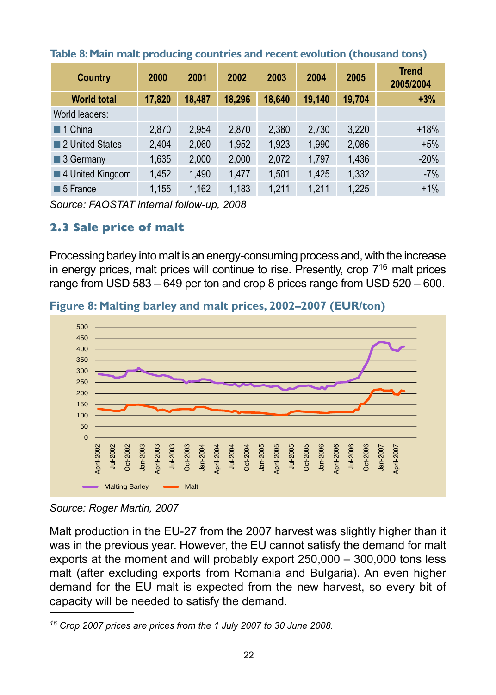| Country                 | 2000   | 2001   | 2002   | 2003   | 2004   | 2005   | <b>Trend</b><br>2005/2004 |
|-------------------------|--------|--------|--------|--------|--------|--------|---------------------------|
| <b>World total</b>      | 17,820 | 18.487 | 18.296 | 18.640 | 19,140 | 19,704 | $+3%$                     |
| World leaders:          |        |        |        |        |        |        |                           |
| 1 China                 | 2,870  | 2,954  | 2,870  | 2,380  | 2,730  | 3,220  | $+18%$                    |
| 2 United States         | 2,404  | 2,060  | 1,952  | 1,923  | 1,990  | 2,086  | $+5%$                     |
| 3 Germany               | 1,635  | 2,000  | 2,000  | 2,072  | 1,797  | 1,436  | $-20%$                    |
| 4 United Kingdom        | 1,452  | 1,490  | 1,477  | 1,501  | 1,425  | 1,332  | $-7%$                     |
| $\blacksquare$ 5 France | 1,155  | 1,162  | 1,183  | 1,211  | 1,211  | 1,225  | $+1%$                     |

**Table 8: Main malt producing countries and recent evolution (thousand tons)**

*Source: FAOSTAT internal follow-up, 2008*

# **2.3 Sale price of malt**

Processing barley into malt is an energy-consuming process and, with the increase in energy prices, malt prices will continue to rise. Presently, crop  $7^{16}$  malt prices range from USD 583 – 649 per ton and crop 8 prices range from USD 520 – 600.





*Source: Roger Martin, 2007*

Malt production in the EU-27 from the 2007 harvest was slightly higher than it was in the previous year. However, the EU cannot satisfy the demand for malt exports at the moment and will probably export 250,000 – 300,000 tons less malt (after excluding exports from Romania and Bulgaria). An even higher demand for the EU malt is expected from the new harvest, so every bit of capacity will be needed to satisfy the demand. Soles and a set of the EU annot satisfy the demand.<br>
The compact of the EU and the compact of the EU and the compact of the EU and the compact of the EU and the previous year. However, the EU cannot satisfy the demand for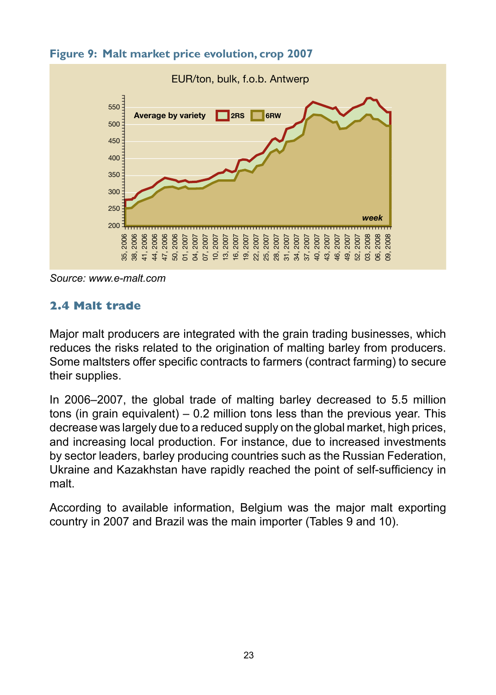

**Figure 9: Malt market price evolution, crop 2007** 

*Source: www.e-malt.com*

#### **2.4 Malt trade**

Major malt producers are integrated with the grain trading businesses, which reduces the risks related to the origination of malting barley from producers. Some maltsters offer specific contracts to farmers (contract farming) to secure their supplies.

In 2006–2007, the global trade of malting barley decreased to 5.5 million tons (in grain equivalent) – 0.2 million tons less than the previous vear. This decrease was largely due to a reduced supply on the global market, high prices, and increasing local production. For instance, due to increased investments by sector leaders, barley producing countries such as the Russian Federation, Ukraine and Kazakhstan have rapidly reached the point of self-sufficiency in malt. **Example 12**<br> **Example 12**<br> **Example 12**<br> **Example 12**<br> **Example 12**<br> **Example 12**<br> **Example 12**<br> **Example 12**<br> **Example 12**<br> **Example 12**<br> **Example 12**<br> **Example 12**<br> **Example 12**<br> **Example 12**<br> **Example 12**<br> **Example 12** 

According to available information, Belgium was the major malt exporting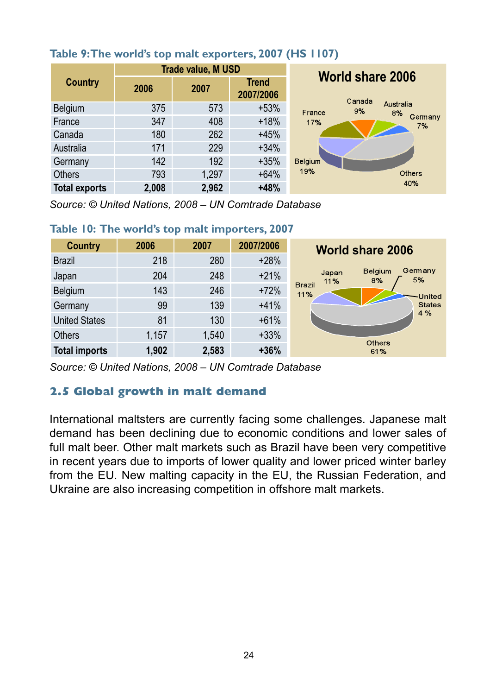|                      |       | <b>Trade value, M USD</b> |                           | <b>World share 2006</b>         |
|----------------------|-------|---------------------------|---------------------------|---------------------------------|
| Country              | 2006  | 2007                      | <b>Trend</b><br>2007/2006 | Canada                          |
| <b>Belgium</b>       | 375   | 573                       | $+53%$                    | Australia<br>9%<br>France<br>8% |
| France               | 347   | 408                       | $+18%$                    | Germany<br>17%<br>7%            |
| Canada               | 180   | 262                       | $+45%$                    |                                 |
| Australia            | 171   | 229                       | $+34%$                    |                                 |
| Germany              | 142   | 192                       | $+35%$                    | <b>Belgium</b>                  |
| <b>Others</b>        | 793   | 1.297                     | $+64%$                    | 19%<br><b>Others</b>            |
| <b>Total exports</b> | 2.008 | 2,962                     | $+48%$                    | 40%                             |

# **Table 9: The world's top malt exporters, 2007 (HS 1107)**

*Source: © United Nations, 2008 – UN Comtrade Database*

| Country              | 2006  | 2007  | 2007/2006 | <b>World share 2006</b>                               |
|----------------------|-------|-------|-----------|-------------------------------------------------------|
| <b>Brazil</b>        | 218   | 280   | $+28%$    |                                                       |
| Japan                | 204   | 248   | $+21%$    | Germany<br><b>Belgium</b><br>Japan<br>5%<br>8%<br>11% |
| Belgium              | 143   | 246   | $+72%$    | <b>Brazil</b><br>11%<br>-United                       |
| Germany              | 99    | 139   | $+41%$    | <b>States</b>                                         |
| <b>United States</b> | 81    | 130   | $+61%$    | 4%                                                    |
| <b>Others</b>        | 1,157 | 1,540 | $+33%$    |                                                       |
| <b>Total imports</b> | 1,902 | 2,583 | $+36%$    | <b>Others</b><br>61%                                  |

#### **Table 10: The world's top malt importers, 2007**

*Source: © United Nations, 2008 – UN Comtrade Database*

# **2.5 Global growth in malt demand**

International maltsters are currently facing some challenges. Japanese malt demand has been declining due to economic conditions and lower sales of full malt beer. Other malt markets such as Brazil have been very competitive in recent years due to imports of lower quality and lower priced winter barley from the EU. New malting capacity in the EU, the Russian Federation, and Ukraine are also increasing competition in offshore malt markets.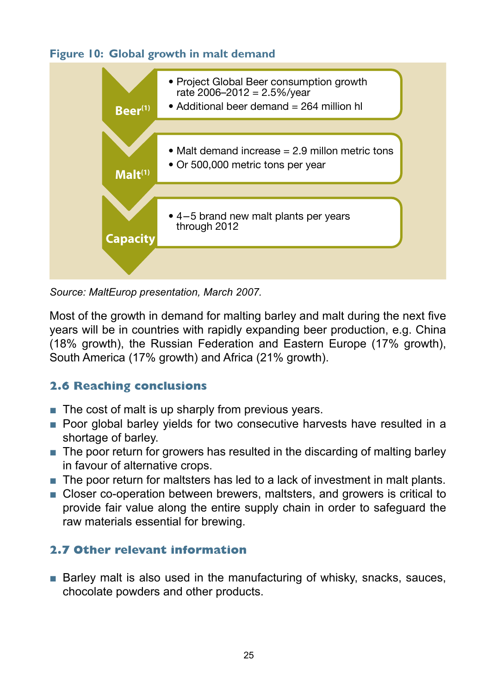# **Figure 10: Global growth in malt demand**



*Source: MaltEurop presentation, March 2007.*

Most of the growth in demand for malting barley and malt during the next five years will be in countries with rapidly expanding beer production, e.g. China (18% growth), the Russian Federation and Eastern Europe (17% growth), South America (17% growth) and Africa (21% growth).

# **2.6 Reaching conclusions**

- The cost of malt is up sharply from previous years.
- Poor global barley yields for two consecutive harvests have resulted in a shortage of barley.
- The poor return for growers has resulted in the discarding of malting barley in favour of alternative crops.
- The poor return for maltsters has led to a lack of investment in malt plants.
- Closer co-operation between brewers, maltsters, and growers is critical to provide fair value along the entire supply chain in order to safeguard the raw materials essential for brewing.

# **2.7 Other relevant information**

■ Barley malt is also used in the manufacturing of whisky, snacks, sauces, chocolate powders and other products.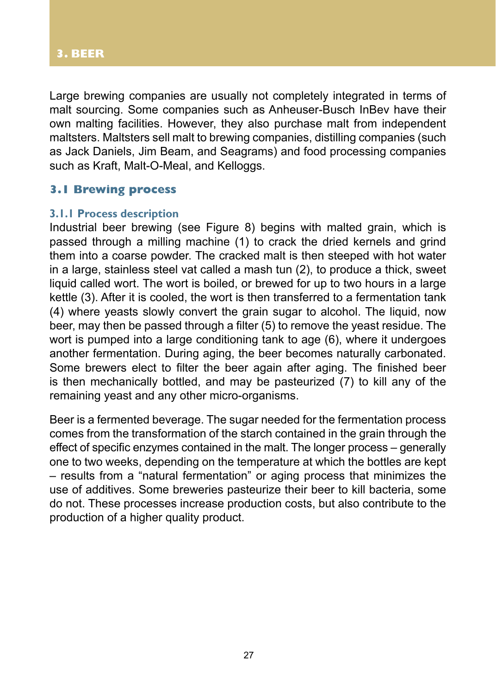#### **3. BEER**

Large brewing companies are usually not completely integrated in terms of malt sourcing. Some companies such as Anheuser-Busch InBev have their own malting facilities. However, they also purchase malt from independent maltsters. Maltsters sell malt to brewing companies, distilling companies (such as Jack Daniels, Jim Beam, and Seagrams) and food processing companies such as Kraft, Malt-O-Meal, and Kelloggs.

#### **3.1 Brewing process**

#### **3.1.1 Process description**

Industrial beer brewing (see Figure 8) begins with malted grain, which is passed through a milling machine (1) to crack the dried kernels and grind them into a coarse powder. The cracked malt is then steeped with hot water in a large, stainless steel vat called a mash tun (2), to produce a thick, sweet liquid called wort. The wort is boiled, or brewed for up to two hours in a large kettle (3). After it is cooled, the wort is then transferred to a fermentation tank (4) where yeasts slowly convert the grain sugar to alcohol. The liquid, now beer, may then be passed through a filter (5) to remove the yeast residue. The wort is pumped into a large conditioning tank to age (6), where it undergoes another fermentation. During aging, the beer becomes naturally carbonated. Some brewers elect to filter the beer again after aging. The finished beer is then mechanically bottled, and may be pasteurized (7) to kill any of the remaining yeast and any other micro-organisms.

Beer is a fermented beverage. The sugar needed for the fermentation process comes from the transformation of the starch contained in the grain through the effect of specific enzymes contained in the malt. The longer process – generally one to two weeks, depending on the temperature at which the bottles are kept – results from a "natural fermentation" or aging process that minimizes the use of additives. Some breweries pasteurize their beer to kill bacteria, some do not. These processes increase production costs, but also contribute to the production of a higher quality product.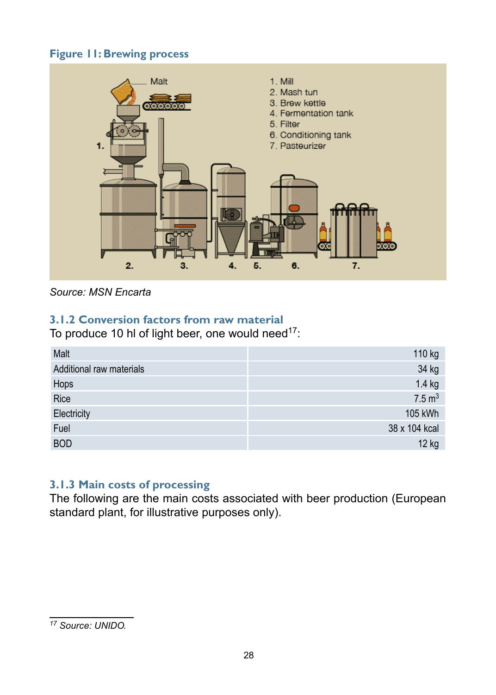# **Figure 11: Brewing process**



*Source: MSN Encarta* 

# **3.1.2 Conversion factors from raw material**

To produce 10 hl of light beer, one would need $17$ :

| Malt                     | 110 kg            |
|--------------------------|-------------------|
| Additional raw materials | 34 kg             |
| Hops                     | $1.4$ kg          |
| Rice                     | $7.5 \text{ m}^3$ |
| Electricity              | 105 kWh           |
| Fuel                     | 38 x 104 kcal     |
| <b>BOD</b>               | 12 kg             |

# **3.1.3 Main costs of processing**

The following are the main costs associated with beer production (European standard plant, for illustrative purposes only).

*<sup>17</sup> Source: UNIDO.*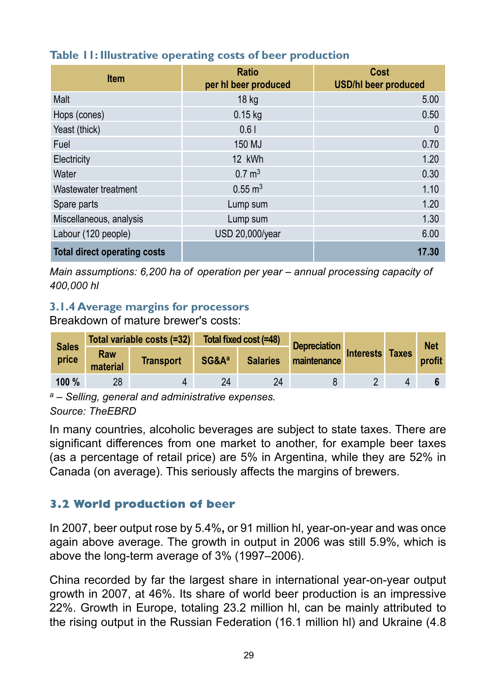| <b>Item</b>                         | <b>Ratio</b><br>per hi beer produced | Cost<br><b>USD/hl beer produced</b> |
|-------------------------------------|--------------------------------------|-------------------------------------|
| Malt                                | 18 <sub>kg</sub>                     | 5.00                                |
| Hops (cones)                        | $0.15$ kg                            | 0.50                                |
| Yeast (thick)                       | 0.61                                 | $\mathbf{0}$                        |
| Fuel                                | 150 MJ                               | 0.70                                |
| Electricity                         | 12 kWh                               | 1.20                                |
| Water                               | $0.7 \text{ m}^3$                    | 0.30                                |
| Wastewater treatment                | $0.55 \text{ m}^3$                   | 1.10                                |
| Spare parts                         | Lump sum                             | 1.20                                |
| Miscellaneous, analysis             | Lump sum                             | 1.30                                |
| Labour (120 people)                 | USD 20,000/year                      | 6.00                                |
| <b>Total direct operating costs</b> |                                      | 17.30                               |

# **Table 11: Illustrative operating costs of beer production**

*Main assumptions: 6,200 ha of operation per year – annual processing capacity of 400,000 hl*

#### **3.1.4 Average margins for processors**

Breakdown of mature brewer's costs:

| <b>Sales</b> |                 | Total variable costs (=32) | Total fixed cost (=48) |                 | <b>Depreciation</b> |                        | <b>Net</b> |
|--------------|-----------------|----------------------------|------------------------|-----------------|---------------------|------------------------|------------|
| price        | Raw<br>material | <b>Transport</b>           | SG&A <sup>a</sup>      | <b>Salaries</b> | maintenance         | <b>Interests Taxes</b> | profit     |
| 100%         | 28              |                            | 24                     | 24              |                     |                        |            |

*<sup>a</sup>* – *Selling, general and administrative expenses.*

*Source: TheEBRD*

In many countries, alcoholic beverages are subject to state taxes. There are significant differences from one market to another, for example beer taxes (as a percentage of retail price) are 5% in Argentina, while they are 52% in Canada (on average). This seriously affects the margins of brewers.

# **3.2 World production of beer**

In 2007, beer output rose by 5.4%**,** or 91 million hl, year-on-year and was once again above average. The growth in output in 2006 was still 5.9%, which is above the long-term average of 3% (1997–2006).

China recorded by far the largest share in international year-on-year output growth in 2007, at 46%. Its share of world beer production is an impressive 22%. Growth in Europe, totaling 23.2 million hl, can be mainly attributed to the rising output in the Russian Federation (16.1 million hl) and Ukraine (4.8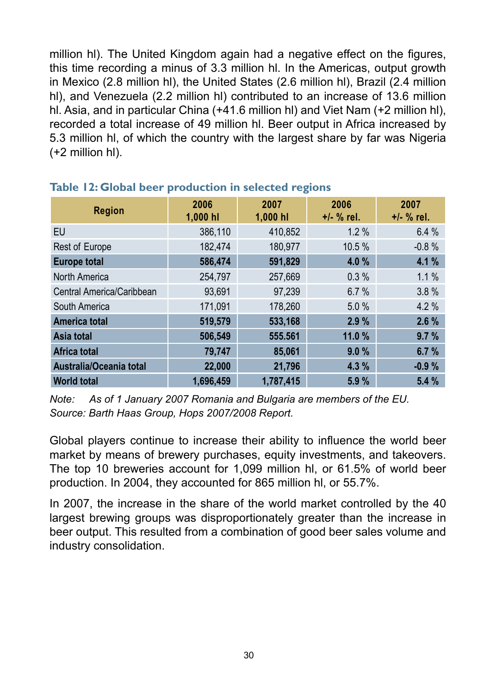million hl). The United Kingdom again had a negative effect on the figures, this time recording a minus of 3.3 million hl. In the Americas, output growth in Mexico (2.8 million hl), the United States (2.6 million hl), Brazil (2.4 million hl), and Venezuela (2.2 million hl) contributed to an increase of 13.6 million hl. Asia, and in particular China (+41.6 million hl) and Viet Nam (+2 million hl), recorded a total increase of 49 million hl. Beer output in Africa increased by 5.3 million hl, of which the country with the largest share by far was Nigeria (+2 million hl).

| <b>Region</b>             | 2006<br>$1,000$ hl | 2007<br>$1,000$ hl |         | 2007<br>$+/-$ % rel. |
|---------------------------|--------------------|--------------------|---------|----------------------|
| <b>FU</b>                 | 386,110            | 410,852            | 1.2%    | 6.4%                 |
| Rest of Europe            | 182,474            | 180.977            | 10.5 %  | $-0.8%$              |
| <b>Europe total</b>       | 586.474            | 591,829            | 4.0%    | 4.1%                 |
| North America             | 254,797            | 257,669            | $0.3\%$ | $1.1\%$              |
| Central America/Caribbean | 93.691             | 97.239             | 6.7%    | 3.8%                 |
| South America             | 171.091            | 178,260            | 5.0%    | 4.2%                 |
| America total             | 519,579            | 533,168            | 2.9%    | 2.6%                 |
| Asia total                | 506,549            | 555.561            | 11.0%   | 9.7%                 |
| <b>Africa total</b>       | 79,747             | 85.061             | 9.0%    | 6.7%                 |
| Australia/Oceania total   | 22.000             | 21,796             | 4.3%    | $-0.9%$              |
| <b>World total</b>        | 1.696.459          | 1.787.415          | 5.9%    | 5.4%                 |

# **Table 12: Global beer production in selected regions**

*Note: As of 1 January 2007 Romania and Bulgaria are members of the EU. Source: Barth Haas Group, Hops 2007/2008 Report.*

Global players continue to increase their ability to influence the world beer market by means of brewery purchases, equity investments, and takeovers. The top 10 breweries account for 1,099 million hl, or 61.5% of world beer production. In 2004, they accounted for 865 million hl, or 55.7%.

In 2007, the increase in the share of the world market controlled by the 40 largest brewing groups was disproportionately greater than the increase in beer output. This resulted from a combination of good beer sales volume and industry consolidation.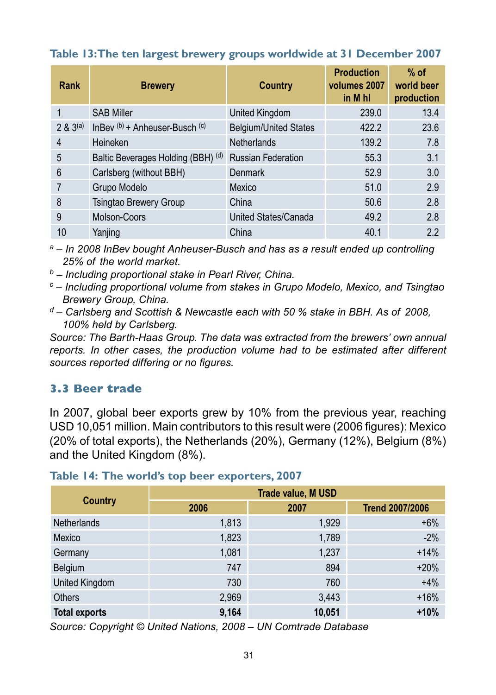# **Table 13: The ten largest brewery groups worldwide at 31 December 2007**

| Rank          | <b>Brewery</b>                     | Country                      | <b>Production</b><br>volumes 2007<br>in M hl | $%$ of<br>world beer<br>production |
|---------------|------------------------------------|------------------------------|----------------------------------------------|------------------------------------|
| 1             | <b>SAB Miller</b>                  | United Kingdom               | 239.0                                        | 13.4                               |
| $2 & 3^{(a)}$ | InBev $(b)$ + Anheuser-Busch $(c)$ | <b>Belgium/United States</b> | 422.2                                        | 23.6                               |
| 4             | Heineken                           | <b>Netherlands</b>           | 139.2                                        | 7.8                                |
| 5             | Baltic Beverages Holding (BBH) (d) | <b>Russian Federation</b>    | 55.3                                         | 3.1                                |
| 6             | Carlsberg (without BBH)            | Denmark                      | 52.9                                         | 3.0                                |
|               | Grupo Modelo                       | Mexico                       | 51.0                                         | 2.9                                |
| 8             | <b>Tsingtao Brewery Group</b>      | China                        | 50.6                                         | 2.8                                |
| 9             | Molson-Coors                       | United States/Canada         | 49.2                                         | 2.8                                |
| 10            | Yanjing                            | China                        | 40.1                                         | 2.2                                |

*<sup>a</sup>* – *In 2008 InBev bought Anheuser-Busch and has as a result ended up controlling 25% of the world market.*

- *<sup>b</sup>* – *Including proportional stake in Pearl River, China.*
- *<sup>c</sup>* – *Including proportional volume from stakes in Grupo Modelo, Mexico, and Tsingtao Brewery Group, China.*
- *<sup>d</sup>* – *Carlsberg and Scottish & Newcastle each with 50 % stake in BBH. As of 2008, 100% held by Carlsberg.*

*Source: The Barth-Haas Group. The data was extracted from the brewers' own annual reports. In other cases, the production volume had to be estimated after different sources reported differing or no figures.*

# **3.3 Beer trade**

In 2007, global beer exports grew by 10% from the previous year, reaching USD 10,051 million. Main contributors to this result were (2006 figures): Mexico (20% of total exports), the Netherlands (20%), Germany (12%), Belgium (8%) and the United Kingdom (8%).

|                      | <b>Trade value, M USD</b> |        |                        |  |  |  |
|----------------------|---------------------------|--------|------------------------|--|--|--|
| Country              | 2006                      | 2007   | <b>Trend 2007/2006</b> |  |  |  |
| <b>Netherlands</b>   | 1,813                     | 1,929  | $+6%$                  |  |  |  |
| Mexico               | 1,823                     | 1,789  | $-2%$                  |  |  |  |
| Germany              | 1,081                     | 1,237  | $+14%$                 |  |  |  |
| Belgium              | 747                       | 894    | $+20%$                 |  |  |  |
| United Kingdom       | 730                       | 760    | $+4%$                  |  |  |  |
| <b>Others</b>        | 2,969                     | 3,443  | $+16%$                 |  |  |  |
| <b>Total exports</b> | 9,164                     | 10,051 | $+10%$                 |  |  |  |

#### **Table 14: The world's top beer exporters, 2007**

*Source: Copyright © United Nations, 2008 – UN Comtrade Database*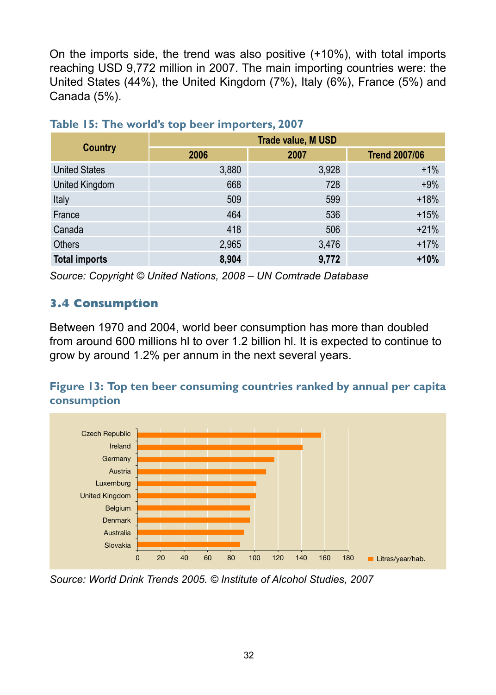On the imports side, the trend was also positive (+10%), with total imports reaching USD 9,772 million in 2007. The main importing countries were: the United States (44%), the United Kingdom (7%), Italy (6%), France (5%) and Canada (5%).

|                      | <b>Trade value, M USD</b> |       |                      |  |  |  |
|----------------------|---------------------------|-------|----------------------|--|--|--|
| Country              | 2006                      | 2007  | <b>Trend 2007/06</b> |  |  |  |
| <b>United States</b> | 3,880                     | 3,928 | $+1%$                |  |  |  |
| United Kingdom       | 668                       | 728   | $+9%$                |  |  |  |
| Italy                | 509                       | 599   | $+18%$               |  |  |  |
| France               | 464                       | 536   | $+15%$               |  |  |  |
| Canada               | 418                       | 506   | $+21%$               |  |  |  |
| <b>Others</b>        | 2,965                     | 3,476 | $+17%$               |  |  |  |
| <b>Total imports</b> | 8,904                     | 9,772 | $+10%$               |  |  |  |

#### **Table 15: The world's top beer importers, 2007**

*Source: Copyright © United Nations, 2008 – UN Comtrade Database*

# **3.4 Consumption**

Between 1970 and 2004, world beer consumption has more than doubled from around 600 millions hl to over 1.2 billion hl. It is expected to continue to grow by around 1.2% per annum in the next several years.

# **Figure 13: Top ten beer consuming countries ranked by annual per capita consumption**



*Source: World Drink Trends 2005. © Institute of Alcohol Studies, 2007*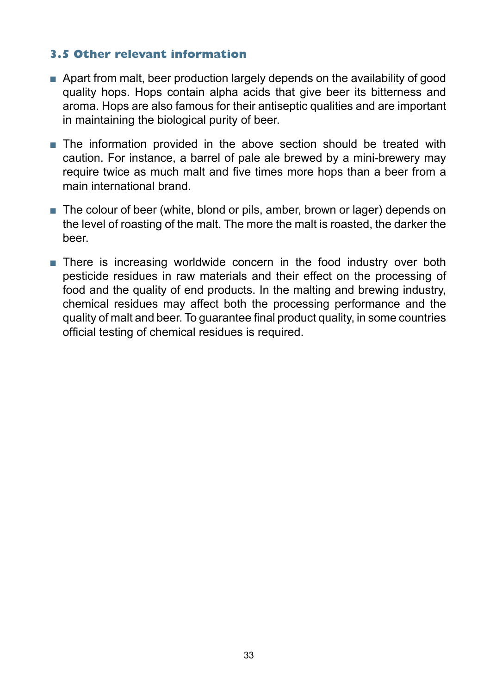# **3.5 Other relevant information**

- Apart from malt, beer production largely depends on the availability of good quality hops. Hops contain alpha acids that give beer its bitterness and aroma. Hops are also famous for their antiseptic qualities and are important in maintaining the biological purity of beer.
- The information provided in the above section should be treated with caution. For instance, a barrel of pale ale brewed by a mini-brewery may require twice as much malt and five times more hops than a beer from a main international brand.
- The colour of beer (white, blond or pils, amber, brown or lager) depends on the level of roasting of the malt. The more the malt is roasted, the darker the beer.
- There is increasing worldwide concern in the food industry over both pesticide residues in raw materials and their effect on the processing of food and the quality of end products. In the malting and brewing industry, chemical residues may affect both the processing performance and the quality of malt and beer. To guarantee final product quality, in some countries official testing of chemical residues is required.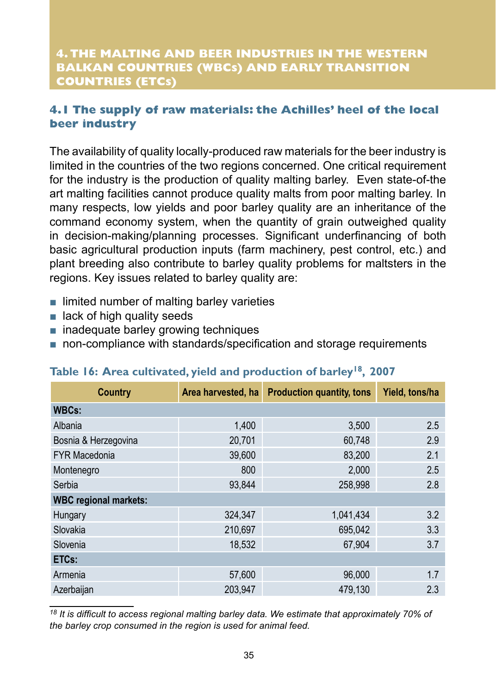# **4. THE MALTING AND BEER INDUSTRIES IN THE WESTERN BALKAN COUNTRIES (WBCs) AND EARLY TRANSITION COUNTRIES (ETCs)**

# **4.1 The supply of raw materials: the Achilles' heel of the local beer industry**

The availability of quality locally-produced raw materials for the beer industry is limited in the countries of the two regions concerned. One critical requirement for the industry is the production of quality malting barley. Even state-of-the art malting facilities cannot produce quality malts from poor malting barley. In many respects, low yields and poor barley quality are an inheritance of the command economy system, when the quantity of grain outweighed quality in decision-making/planning processes. Significant underfinancing of both basic agricultural production inputs (farm machinery, pest control, etc.) and plant breeding also contribute to barley quality problems for maltsters in the regions. Key issues related to barley quality are:

- limited number of malting barley varieties
- lack of high quality seeds
- inadequate barley growing techniques
- non-compliance with standards/specification and storage requirements

| <b>Country</b>               | Area harvested, ha | <b>Production quantity, tons</b> | Yield, tons/ha |
|------------------------------|--------------------|----------------------------------|----------------|
| <b>WBCs:</b>                 |                    |                                  |                |
| Albania                      | 1.400              | 3,500                            | 2.5            |
| Bosnia & Herzegovina         | 20,701             | 60,748                           | 2.9            |
| <b>FYR Macedonia</b>         | 39,600             | 83,200                           | 2.1            |
| Montenegro                   | 800                | 2.000                            | 2.5            |
| Serbia                       | 93.844             | 258.998                          | 2.8            |
| <b>WBC regional markets:</b> |                    |                                  |                |
| Hungary                      | 324,347            | 1,041,434                        | 3.2            |
| Slovakia                     | 210.697            | 695.042                          | 3.3            |
| Slovenia                     | 18,532             | 67.904                           | 3.7            |
| ETC <sub>s</sub> :           |                    |                                  |                |
| Armenia                      | 57,600             | 96,000                           | 1.7            |
| Azerbaijan                   | 203,947            | 479,130                          | 2.3            |

# **Table 16: Area cultivated, yield and production of barley18, 2007**

*18 It is difficult to access regional malting barley data. We estimate that approximately 70% of the barley crop consumed in the region is used for animal feed.*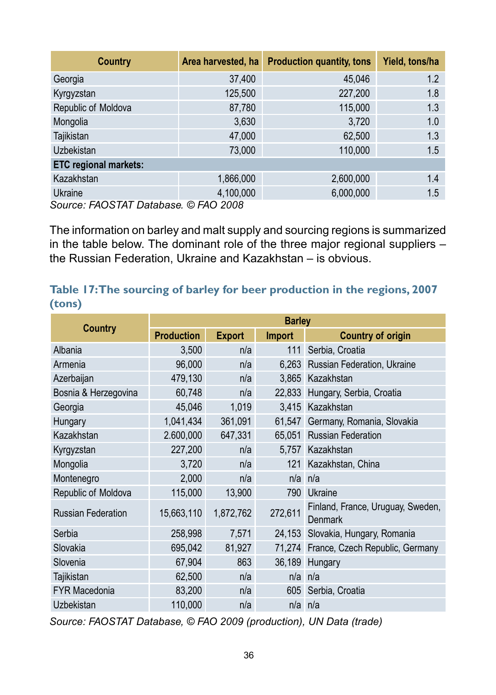| <b>Country</b>               | Area harvested, ha | <b>Production quantity, tons</b> | Yield, tons/ha |
|------------------------------|--------------------|----------------------------------|----------------|
| Georgia                      | 37,400             | 45.046                           | 1.2            |
| Kyrgyzstan                   | 125,500            | 227,200                          | 1.8            |
| Republic of Moldova          | 87,780             | 115,000                          | 1.3            |
| Mongolia                     | 3,630              | 3,720                            | 1.0            |
| Tajikistan                   | 47,000             | 62,500                           | 1.3            |
| <b>Uzbekistan</b>            | 73,000             | 110,000                          | 1.5            |
| <b>ETC regional markets:</b> |                    |                                  |                |
| Kazakhstan                   | 1,866,000          | 2,600,000                        | 1.4            |
| Ukraine                      | 4,100,000          | 6,000,000                        | 1.5            |
| $C2, \ldots, C1 \cap C$      |                    |                                  |                |

*Source: FAOSTAT Database. © FAO 2008*

The information on barley and malt supply and sourcing regions is summarized in the table below. The dominant role of the three major regional suppliers – the Russian Federation, Ukraine and Kazakhstan – is obvious.

# **Table 17: The sourcing of barley for beer production in the regions, 2007 (tons)**

| <b>Country</b>            |                   | <b>Barley</b> |               |                                              |  |  |  |
|---------------------------|-------------------|---------------|---------------|----------------------------------------------|--|--|--|
|                           | <b>Production</b> | <b>Export</b> | <b>Import</b> | <b>Country of origin</b>                     |  |  |  |
| Albania                   | 3,500             | n/a           | 111           | Serbia, Croatia                              |  |  |  |
| Armenia                   | 96,000            | n/a           |               | 6,263 Russian Federation, Ukraine            |  |  |  |
| Azerbaijan                | 479,130           | n/a           |               | 3.865 Kazakhstan                             |  |  |  |
| Bosnia & Herzegovina      | 60,748            | n/a           | 22,833        | Hungary, Serbia, Croatia                     |  |  |  |
| Georgia                   | 45,046            | 1,019         | 3,415         | Kazakhstan                                   |  |  |  |
| Hungary                   | 1,041,434         | 361,091       | 61,547        | Germany, Romania, Slovakia                   |  |  |  |
| Kazakhstan                | 2.600,000         | 647,331       | 65,051        | <b>Russian Federation</b>                    |  |  |  |
| Kyrgyzstan                | 227,200           | n/a           | 5.757         | Kazakhstan                                   |  |  |  |
| Mongolia                  | 3,720             | n/a           | 121           | Kazakhstan, China                            |  |  |  |
| Montenegro                | 2,000             | n/a           | n/a           | n/a                                          |  |  |  |
| Republic of Moldova       | 115,000           | 13,900        | 790           | Ukraine                                      |  |  |  |
| <b>Russian Federation</b> | 15,663,110        | 1,872,762     | 272,611       | Finland, France, Uruguay, Sweden,<br>Denmark |  |  |  |
| Serbia                    | 258,998           | 7,571         |               | 24,153 Slovakia, Hungary, Romania            |  |  |  |
| Slovakia                  | 695.042           | 81,927        | 71.274        | France, Czech Republic, Germany              |  |  |  |
| Slovenia                  | 67,904            | 863           | 36,189        | Hungary                                      |  |  |  |
| Tajikistan                | 62,500            | n/a           | n/a           | n/a                                          |  |  |  |
| <b>FYR Macedonia</b>      | 83,200            | n/a           |               | 605 Serbia, Croatia                          |  |  |  |
| Uzbekistan                | 110,000           | n/a           |               | $n/a$ $n/a$                                  |  |  |  |

*Source: FAOSTAT Database, © FAO 2009 (production), UN Data (trade)*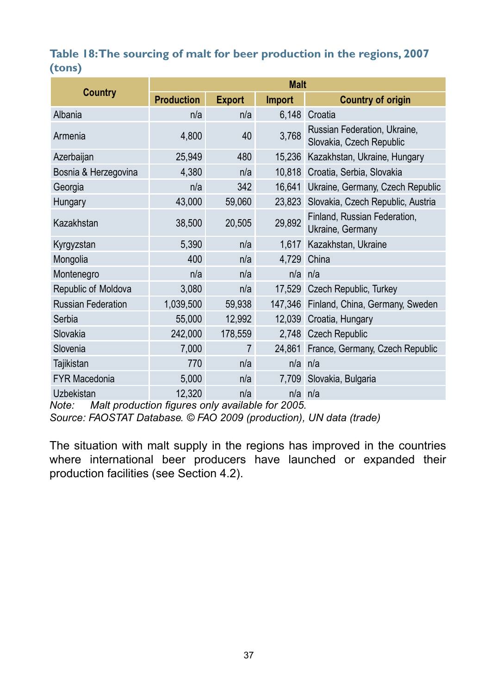# **Table 18: The sourcing of malt for beer production in the regions, 2007 (tons)**

|                           | <b>Malt</b>       |                |               |                                                          |  |  |
|---------------------------|-------------------|----------------|---------------|----------------------------------------------------------|--|--|
| Country                   | <b>Production</b> | <b>Export</b>  | <b>Import</b> | <b>Country of origin</b>                                 |  |  |
| Albania                   | n/a               | n/a            | 6.148         | Croatia                                                  |  |  |
| Armenia                   | 4,800             | 40             | 3,768         | Russian Federation, Ukraine,<br>Slovakia, Czech Republic |  |  |
| Azerbaijan                | 25,949            | 480            | 15.236        | Kazakhstan, Ukraine, Hungary                             |  |  |
| Bosnia & Herzegovina      | 4,380             | n/a            | 10.818        | Croatia, Serbia, Slovakia                                |  |  |
| Georgia                   | n/a               | 342            | 16,641        | Ukraine, Germany, Czech Republic                         |  |  |
| Hungary                   | 43,000            | 59,060         | 23,823        | Slovakia, Czech Republic, Austria                        |  |  |
| Kazakhstan                | 38,500            | 20,505         | 29,892        | Finland, Russian Federation,<br>Ukraine, Germany         |  |  |
| Kyrgyzstan                | 5,390             | n/a            | 1,617         | Kazakhstan, Ukraine                                      |  |  |
| Mongolia                  | 400               | n/a            | 4,729         | China                                                    |  |  |
| Montenegro                | n/a               | n/a            |               | $n/a$ $n/a$                                              |  |  |
| Republic of Moldova       | 3,080             | n/a            |               | 17,529 Czech Republic, Turkey                            |  |  |
| <b>Russian Federation</b> | 1,039,500         | 59,938         | 147.346       | Finland, China, Germany, Sweden                          |  |  |
| Serbia                    | 55,000            | 12,992         | 12.039        | Croatia, Hungary                                         |  |  |
| Slovakia                  | 242,000           | 178,559        | 2,748         | <b>Czech Republic</b>                                    |  |  |
| Slovenia                  | 7,000             | $\overline{7}$ | 24.861        | France, Germany, Czech Republic                          |  |  |
| Tajikistan                | 770               | n/a            | n/a           | n/a                                                      |  |  |
| <b>FYR Macedonia</b>      | 5,000             | n/a            | 7,709         | Slovakia, Bulgaria                                       |  |  |
| <b>Uzbekistan</b>         | 12,320            | n/a            | $n/a$ $n/a$   |                                                          |  |  |

*Note: Malt production figures only available for 2005.*

*Source: FAOSTAT Database. © FAO 2009 (production), UN data (trade)* 

The situation with malt supply in the regions has improved in the countries where international beer producers have launched or expanded their production facilities (see Section 4.2).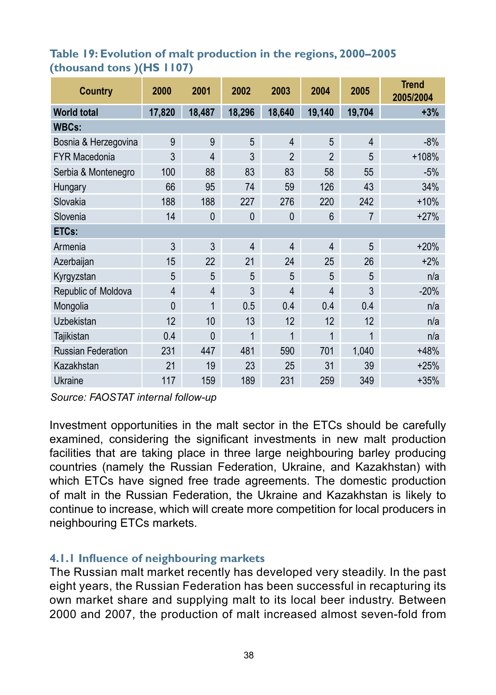# **Table 19: Evolution of malt production in the regions, 2000–2005 (thousand tons )(HS 1107)**

| <b>Country</b>            | 2000     | 2001           | 2002           | 2003           | 2004           | 2005           | <b>Trend</b><br>2005/2004 |
|---------------------------|----------|----------------|----------------|----------------|----------------|----------------|---------------------------|
| <b>World total</b>        | 17,820   | 18,487         | 18,296         | 18,640         | 19,140         | 19,704         | $+3%$                     |
| <b>WBCs:</b>              |          |                |                |                |                |                |                           |
| Bosnia & Herzegovina      | 9        | 9              | 5              | $\overline{4}$ | 5              | $\overline{4}$ | $-8%$                     |
| <b>FYR Macedonia</b>      | 3        | $\overline{4}$ | 3              | $\overline{2}$ | $\mathfrak{p}$ | 5              | +108%                     |
| Serbia & Montenegro       | 100      | 88             | 83             | 83             | 58             | 55             | $-5%$                     |
| Hungary                   | 66       | 95             | 74             | 59             | 126            | 43             | 34%                       |
| Slovakia                  | 188      | 188            | 227            | 276            | 220            | 242            | $+10%$                    |
| Slovenia                  | 14       | $\mathbf{0}$   | $\mathbf{0}$   | $\mathbf{0}$   | 6              | 7              | $+27%$                    |
| ETCs:                     |          |                |                |                |                |                |                           |
| Armenia                   | 3        | 3              | $\overline{4}$ | $\overline{4}$ | $\overline{4}$ | 5              | $+20%$                    |
| Azerbaijan                | 15       | 22             | 21             | 24             | 25             | 26             | $+2%$                     |
| Kyrgyzstan                | 5        | 5              | 5              | 5              | 5              | 5              | n/a                       |
| Republic of Moldova       | 4        | 4              | 3              | $\overline{4}$ | 4              | 3              | $-20%$                    |
| Mongolia                  | $\Omega$ | 1              | 0.5            | 0.4            | 0.4            | 0.4            | n/a                       |
| Uzbekistan                | 12       | 10             | 13             | 12             | 12             | 12             | n/a                       |
| <b>Tajikistan</b>         | 0.4      | 0              | 1              | 1              | 1              | 1              | n/a                       |
| <b>Russian Federation</b> | 231      | 447            | 481            | 590            | 701            | 1,040          | $+48%$                    |
| Kazakhstan                | 21       | 19             | 23             | 25             | 31             | 39             | $+25%$                    |
| Ukraine                   | 117      | 159            | 189            | 231            | 259            | 349            | $+35%$                    |

*Source: FAOSTAT internal follow-up*

Investment opportunities in the malt sector in the ETCs should be carefully examined, considering the significant investments in new malt production facilities that are taking place in three large neighbouring barley producing countries (namely the Russian Federation, Ukraine, and Kazakhstan) with which ETCs have signed free trade agreements. The domestic production of malt in the Russian Federation, the Ukraine and Kazakhstan is likely to continue to increase, which will create more competition for local producers in neighbouring ETCs markets.

# **4.1.1 Influence of neighbouring markets**

The Russian malt market recently has developed very steadily. In the past eight years, the Russian Federation has been successful in recapturing its own market share and supplying malt to its local beer industry. Between 2000 and 2007, the production of malt increased almost seven-fold from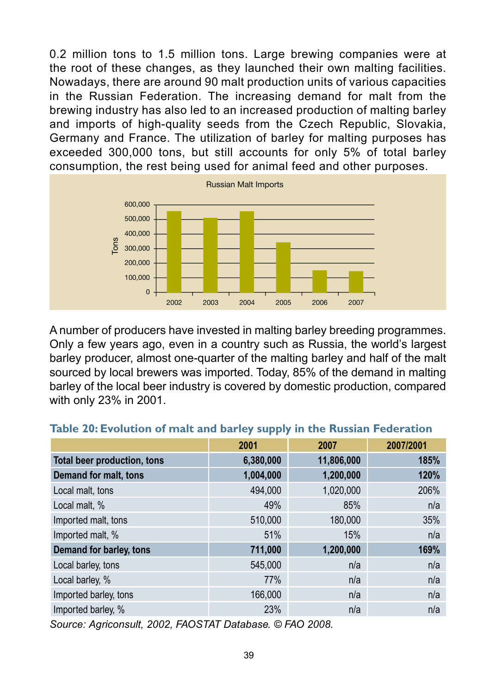0.2 million tons to 1.5 million tons. Large brewing companies were at the root of these changes, as they launched their own malting facilities. Nowadays, there are around 90 malt production units of various capacities in the Russian Federation. The increasing demand for malt from the brewing industry has also led to an increased production of malting barley and imports of high-quality seeds from the Czech Republic, Slovakia, Germany and France. The utilization of barley for malting purposes has exceeded 300,000 tons, but still accounts for only 5% of total barley consumption, the rest being used for animal feed and other purposes.



A number of producers have invested in malting barley breeding programmes. Only a few years ago, even in a country such as Russia, the world's largest barley producer, almost one-quarter of the malting barley and half of the malt sourced by local brewers was imported. Today, 85% of the demand in malting barley of the local beer industry is covered by domestic production, compared with only 23% in 2001.

|                                    | 2001      | 2007       | 2007/2001 |
|------------------------------------|-----------|------------|-----------|
| <b>Total beer production, tons</b> | 6,380,000 | 11,806,000 | 185%      |
| Demand for malt, tons              | 1,004,000 | 1,200,000  | 120%      |
| Local malt, tons                   | 494,000   | 1,020,000  | 206%      |
| Local malt, %                      | 49%       | 85%        | n/a       |
| Imported malt, tons                | 510,000   | 180,000    | 35%       |
| Imported malt, %                   | 51%       | 15%        | n/a       |
| Demand for barley, tons            | 711,000   | 1,200,000  | 169%      |
| Local barley, tons                 | 545.000   | n/a        | n/a       |
| Local barley, %                    | 77%       | n/a        | n/a       |
| Imported barley, tons              | 166,000   | n/a        | n/a       |
| Imported barley, %                 | 23%       | n/a        | n/a       |

#### **Table 20: Evolution of malt and barley supply in the Russian Federation**

*Source: Agriconsult, 2002, FAOSTAT Database. © FAO 2008.*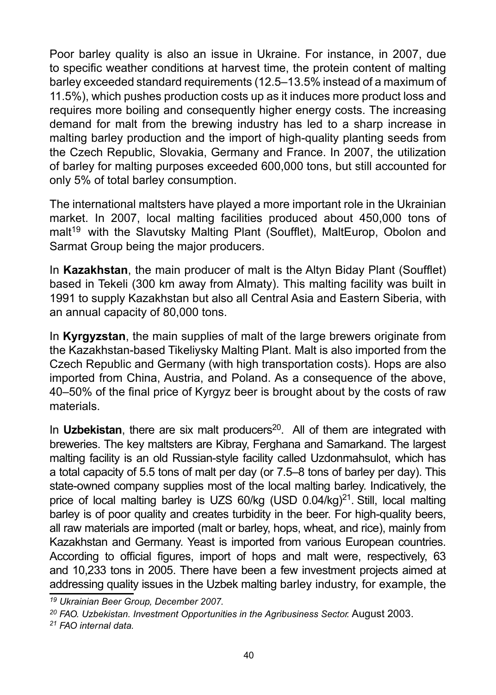Poor barley quality is also an issue in Ukraine. For instance, in 2007, due to specific weather conditions at harvest time, the protein content of malting barley exceeded standard requirements (12.5–13.5% instead of a maximum of 11.5%), which pushes production costs up as it induces more product loss and requires more boiling and consequently higher energy costs. The increasing demand for malt from the brewing industry has led to a sharp increase in malting barley production and the import of high-quality planting seeds from the Czech Republic, Slovakia, Germany and France. In 2007, the utilization of barley for malting purposes exceeded 600,000 tons, but still accounted for only 5% of total barley consumption.

The international maltsters have played a more important role in the Ukrainian market. In 2007, local malting facilities produced about 450,000 tons of malt<sup>19</sup> with the Slavutsky Malting Plant (Soufflet), MaltEurop, Obolon and Sarmat Group being the major producers.

In **Kazakhstan**, the main producer of malt is the Altyn Biday Plant (Soufflet) based in Tekeli (300 km away from Almaty). This malting facility was built in 1991 to supply Kazakhstan but also all Central Asia and Eastern Siberia, with an annual capacity of 80,000 tons.

In **Kyrgyzstan**, the main supplies of malt of the large brewers originate from the Kazakhstan-based Tikeliysky Malting Plant. Malt is also imported from the Czech Republic and Germany (with high transportation costs). Hops are also imported from China, Austria, and Poland. As a consequence of the above, 40–50% of the final price of Kyrgyz beer is brought about by the costs of raw materials.

In **Uzbekistan**, there are six malt producers<sup>20</sup>. All of them are integrated with breweries. The key maltsters are Kibray, Ferghana and Samarkand. The largest malting facility is an old Russian-style facility called Uzdonmahsulot, which has a total capacity of 5.5 tons of malt per day (or 7.5–8 tons of barley per day). This state-owned company supplies most of the local malting barley. Indicatively, the price of local malting barley is UZS  $60$ /kg (USD  $0.04$ /kg) $21$ . Still, local malting barley is of poor quality and creates turbidity in the beer. For high-quality beers, all raw materials are imported (malt or barley, hops, wheat, and rice), mainly from Kazakhstan and Germany. Yeast is imported from various European countries. According to official figures, import of hops and malt were, respectively, 63 and 10,233 tons in 2005. There have been a few investment projects aimed at addressing quality issues in the Uzbek malting barley industry, for example, the

*<sup>19</sup> Ukrainian Beer Group, December 2007.* 

*<sup>20</sup> FAO. Uzbekistan. Investment Opportunities in the Agribusiness Sector.* August 2003.

*<sup>21</sup> FAO internal data.*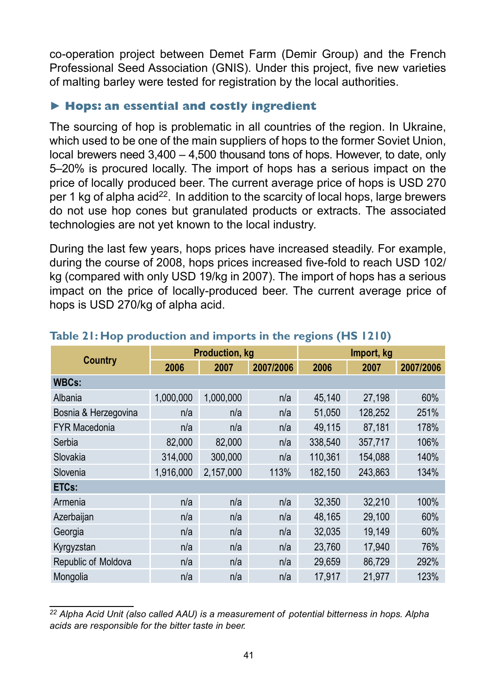co-operation project between Demet Farm (Demir Group) and the French Professional Seed Association (GNIS). Under this project, five new varieties of malting barley were tested for registration by the local authorities.

# ► **Hops: an essential and costly ingredient**

The sourcing of hop is problematic in all countries of the region. In Ukraine, which used to be one of the main suppliers of hops to the former Soviet Union, local brewers need 3,400 – 4,500 thousand tons of hops. However, to date, only 5–20% is procured locally. The import of hops has a serious impact on the price of locally produced beer. The current average price of hops is USD 270 per 1 kg of alpha acid<sup>22</sup>. In addition to the scarcity of local hops, large brewers do not use hop cones but granulated products or extracts. The associated technologies are not yet known to the local industry.

During the last few years, hops prices have increased steadily. For example, during the course of 2008, hops prices increased five-fold to reach USD 102/ kg (compared with only USD 19/kg in 2007). The import of hops has a serious impact on the price of locally-produced beer. The current average price of hops is USD 270/kg of alpha acid.

|                      | <b>Production, kg</b> |           |           | Import, kg |         |           |
|----------------------|-----------------------|-----------|-----------|------------|---------|-----------|
| <b>Country</b>       | 2006                  | 2007      | 2007/2006 | 2006       | 2007    | 2007/2006 |
| <b>WBCs:</b>         |                       |           |           |            |         |           |
| Albania              | 1,000,000             | 1,000,000 | n/a       | 45,140     | 27,198  | 60%       |
| Bosnia & Herzegovina | n/a                   | n/a       | n/a       | 51,050     | 128,252 | 251%      |
| <b>FYR Macedonia</b> | n/a                   | n/a       | n/a       | 49,115     | 87,181  | 178%      |
| Serbia               | 82,000                | 82,000    | n/a       | 338,540    | 357,717 | 106%      |
| Slovakia             | 314.000               | 300.000   | n/a       | 110.361    | 154.088 | 140%      |
| Slovenia             | 1,916,000             | 2,157,000 | 113%      | 182,150    | 243,863 | 134%      |
| ETCs:                |                       |           |           |            |         |           |
| Armenia              | n/a                   | n/a       | n/a       | 32,350     | 32,210  | 100%      |
| Azerbaijan           | n/a                   | n/a       | n/a       | 48,165     | 29,100  | 60%       |
| Georgia              | n/a                   | n/a       | n/a       | 32,035     | 19,149  | 60%       |
| Kyrgyzstan           | n/a                   | n/a       | n/a       | 23,760     | 17,940  | 76%       |
| Republic of Moldova  | n/a                   | n/a       | n/a       | 29,659     | 86,729  | 292%      |
| Mongolia             | n/a                   | n/a       | n/a       | 17.917     | 21.977  | 123%      |

# **Table 21: Hop production and imports in the regions (HS 1210)**

*<sup>22</sup> Alpha Acid Unit (also called AAU) is a measurement of potential bitterness in hops. Alpha acids are responsible for the bitter taste in beer.*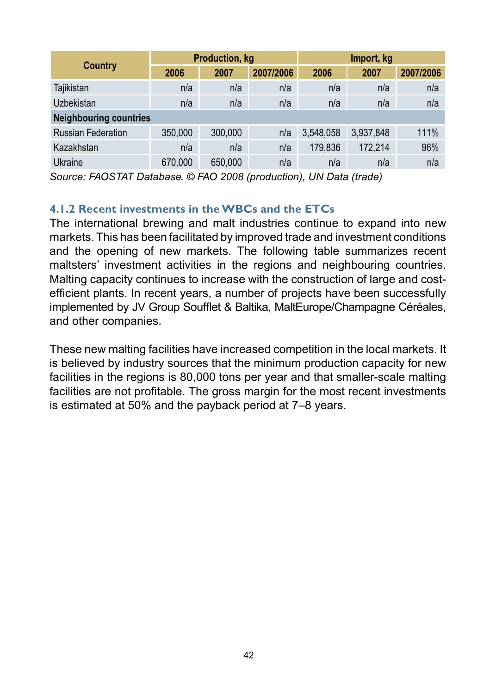|                               | <b>Production, kg</b> |         |           | Import, kg |           |           |
|-------------------------------|-----------------------|---------|-----------|------------|-----------|-----------|
| Country                       | 2006                  | 2007    | 2007/2006 | 2006       | 2007      | 2007/2006 |
| Tajikistan                    | n/a                   | n/a     | n/a       | n/a        | n/a       | n/a       |
| Uzbekistan                    | n/a                   | n/a     | n/a       | n/a        | n/a       | n/a       |
| <b>Neighbouring countries</b> |                       |         |           |            |           |           |
| <b>Russian Federation</b>     | 350,000               | 300,000 | n/a       | 3,548,058  | 3,937,848 | 111%      |
| Kazakhstan                    | n/a                   | n/a     | n/a       | 179.836    | 172,214   | 96%       |
| Ukraine                       | 670.000               | 650,000 | n/a       | n/a        | n/a       | n/a       |

*Source: FAOSTAT Database. © FAO 2008 (production), UN Data (trade)* 

# **4.1.2 Recent investments in the WBCs and the ETCs**

The international brewing and malt industries continue to expand into new markets. This has been facilitated by improved trade and investment conditions and the opening of new markets. The following table summarizes recent maltsters' investment activities in the regions and neighbouring countries. Malting capacity continues to increase with the construction of large and costefficient plants. In recent years, a number of projects have been successfully implemented by JV Group Soufflet & Baltika, MaltEurope/Champagne Céréales, and other companies.

These new malting facilities have increased competition in the local markets. It is believed by industry sources that the minimum production capacity for new facilities in the regions is 80,000 tons per year and that smaller-scale malting facilities are not profitable. The gross margin for the most recent investments is estimated at 50% and the payback period at 7–8 years.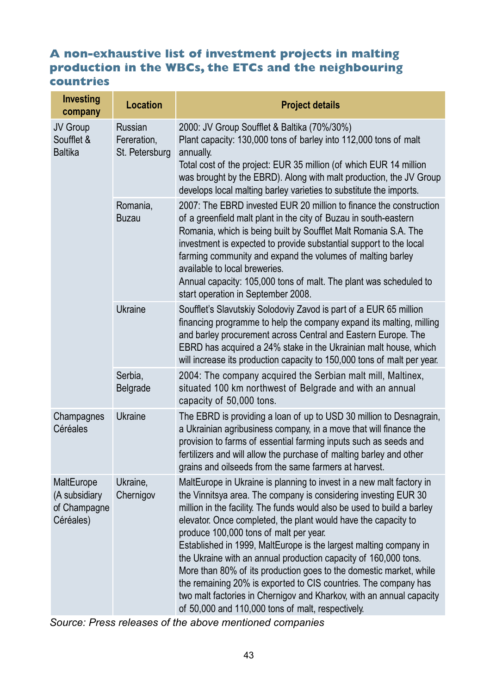# **A non-exhaustive list of investment projects in malting production in the WBCs, the ETCs and the neighbouring countries**

| Investing<br>company                                     | <b>Location</b>                          | <b>Project details</b>                                                                                                                                                                                                                                                                                                                                                                                                                                                                                                                                                                                                                                                                                                                       |
|----------------------------------------------------------|------------------------------------------|----------------------------------------------------------------------------------------------------------------------------------------------------------------------------------------------------------------------------------------------------------------------------------------------------------------------------------------------------------------------------------------------------------------------------------------------------------------------------------------------------------------------------------------------------------------------------------------------------------------------------------------------------------------------------------------------------------------------------------------------|
| JV Group<br>Soufflet &<br>Baltika                        | Russian<br>Fereration,<br>St. Petersburg | 2000: JV Group Soufflet & Baltika (70%/30%)<br>Plant capacity: 130,000 tons of barley into 112,000 tons of malt<br>annually.<br>Total cost of the project: EUR 35 million (of which EUR 14 million<br>was brought by the EBRD). Along with malt production, the JV Group<br>develops local malting barley varieties to substitute the imports.                                                                                                                                                                                                                                                                                                                                                                                               |
|                                                          | Romania,<br>Buzau                        | 2007: The EBRD invested EUR 20 million to finance the construction<br>of a greenfield malt plant in the city of Buzau in south-eastern<br>Romania, which is being built by Soufflet Malt Romania S.A. The<br>investment is expected to provide substantial support to the local<br>farming community and expand the volumes of malting barley<br>available to local breweries.<br>Annual capacity: 105,000 tons of malt. The plant was scheduled to<br>start operation in September 2008.                                                                                                                                                                                                                                                    |
|                                                          | Ukraine                                  | Soufflet's Slavutskiy Solodoviy Zavod is part of a EUR 65 million<br>financing programme to help the company expand its malting, milling<br>and barley procurement across Central and Eastern Europe. The<br>EBRD has acquired a 24% stake in the Ukrainian malt house, which<br>will increase its production capacity to 150,000 tons of malt per year.                                                                                                                                                                                                                                                                                                                                                                                     |
|                                                          | Serbia,<br>Belgrade                      | 2004: The company acquired the Serbian malt mill, Maltinex,<br>situated 100 km northwest of Belgrade and with an annual<br>capacity of 50,000 tons.                                                                                                                                                                                                                                                                                                                                                                                                                                                                                                                                                                                          |
| Champagnes<br>Céréales                                   | Ukraine                                  | The EBRD is providing a loan of up to USD 30 million to Desnagrain,<br>a Ukrainian agribusiness company, in a move that will finance the<br>provision to farms of essential farming inputs such as seeds and<br>fertilizers and will allow the purchase of malting barley and other<br>grains and oilseeds from the same farmers at harvest.                                                                                                                                                                                                                                                                                                                                                                                                 |
| MaltEurope<br>(A subsidiary<br>of Champagne<br>Céréales) | Ukraine,<br>Chernigov                    | MaltEurope in Ukraine is planning to invest in a new malt factory in<br>the Vinnitsya area. The company is considering investing EUR 30<br>million in the facility. The funds would also be used to build a barley<br>elevator. Once completed, the plant would have the capacity to<br>produce 100,000 tons of malt per year.<br>Established in 1999, MaltEurope is the largest malting company in<br>the Ukraine with an annual production capacity of 160,000 tons.<br>More than 80% of its production goes to the domestic market, while<br>the remaining 20% is exported to CIS countries. The company has<br>two malt factories in Chernigov and Kharkov, with an annual capacity<br>of 50,000 and 110,000 tons of malt, respectively. |

*Source: Press releases of the above mentioned companies*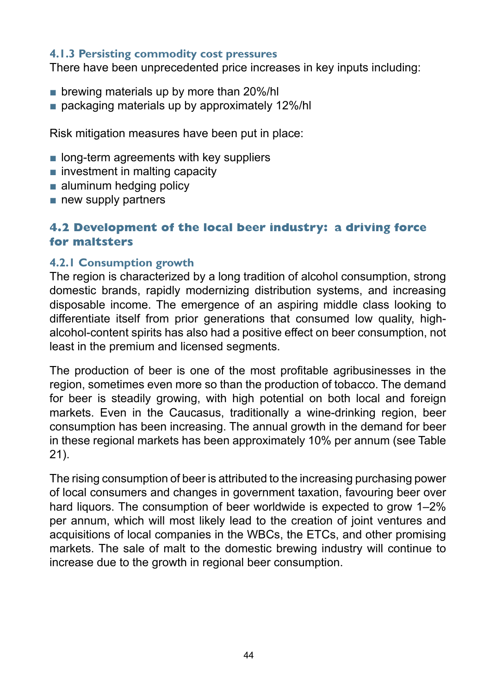# **4.1.3 Persisting commodity cost pressures**

There have been unprecedented price increases in key inputs including:

- brewing materials up by more than 20%/hl
- packaging materials up by approximately 12%/hl

Risk mitigation measures have been put in place:

- long-term agreements with key suppliers
- investment in malting capacity
- aluminum hedging policy
- new supply partners

# **4.2 Development of the local beer industry: a driving force for maltsters**

### **4.2.1 Consumption growth**

The region is characterized by a long tradition of alcohol consumption, strong domestic brands, rapidly modernizing distribution systems, and increasing disposable income. The emergence of an aspiring middle class looking to differentiate itself from prior generations that consumed low quality, highalcohol-content spirits has also had a positive effect on beer consumption, not least in the premium and licensed segments.

The production of beer is one of the most profitable agribusinesses in the region, sometimes even more so than the production of tobacco. The demand for beer is steadily growing, with high potential on both local and foreign markets. Even in the Caucasus, traditionally a wine-drinking region, beer consumption has been increasing. The annual growth in the demand for beer in these regional markets has been approximately 10% per annum (see Table 21).

The rising consumption of beer is attributed to the increasing purchasing power of local consumers and changes in government taxation, favouring beer over hard liquors. The consumption of beer worldwide is expected to grow 1–2% per annum, which will most likely lead to the creation of joint ventures and acquisitions of local companies in the WBCs, the ETCs, and other promising markets. The sale of malt to the domestic brewing industry will continue to increase due to the growth in regional beer consumption.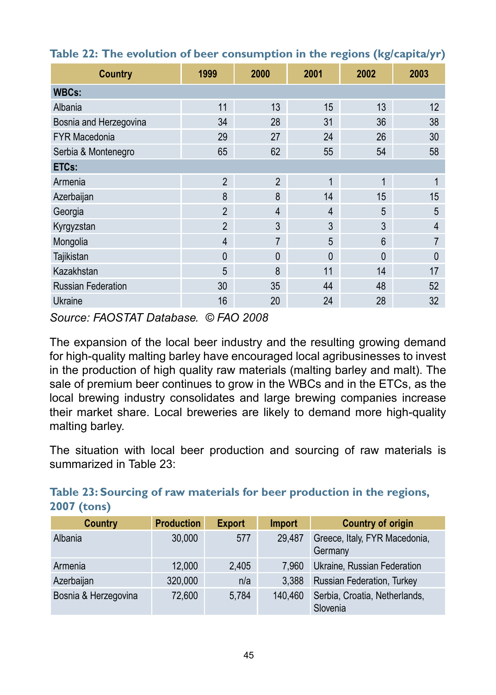| <b>Country</b>            | 1999           | 2000           | 2001         | 2002     | 2003           |
|---------------------------|----------------|----------------|--------------|----------|----------------|
| <b>WBCs:</b>              |                |                |              |          |                |
| Albania                   | 11             | 13             | 15           | 13       | 12             |
| Bosnia and Herzegovina    | 34             | 28             | 31           | 36       | 38             |
| <b>FYR Macedonia</b>      | 29             | 27             | 24           | 26       | 30             |
| Serbia & Montenegro       | 65             | 62             | 55           | 54       | 58             |
| ETCs:                     |                |                |              |          |                |
| Armenia                   | $\overline{2}$ | $\mathfrak{p}$ | 1            | 1        | 1              |
| Azerbaijan                | 8              | 8              | 14           | 15       | 15             |
| Georgia                   | $\overline{2}$ | 4              | 4            | 5        | 5              |
| Kyrgyzstan                | $\overline{2}$ | 3              | 3            | 3        | $\overline{4}$ |
| Mongolia                  | $\overline{4}$ | 7              | 5            | 6        | 7              |
| Tajikistan                | $\mathbf{0}$   | $\mathbf{0}$   | $\mathbf{0}$ | $\Omega$ | $\mathbf{0}$   |
| Kazakhstan                | 5              | 8              | 11           | 14       | 17             |
| <b>Russian Federation</b> | 30             | 35             | 44           | 48       | 52             |
| Ukraine                   | 16             | 20             | 24           | 28       | 32             |

**Table 22: The evolution of beer consumption in the regions (kg/capita/yr)**

*Source: FAOSTAT Database. © FAO 2008*

The expansion of the local beer industry and the resulting growing demand for high-quality malting barley have encouraged local agribusinesses to invest in the production of high quality raw materials (malting barley and malt). The sale of premium beer continues to grow in the WBCs and in the ETCs, as the local brewing industry consolidates and large brewing companies increase their market share. Local breweries are likely to demand more high-quality malting barley.

The situation with local beer production and sourcing of raw materials is summarized in Table 23:

**Table 23: Sourcing of raw materials for beer production in the regions, 2007 (tons)**

| Country              | <b>Production</b> | <b>Export</b> | <b>Import</b> | <b>Country of origin</b>                  |
|----------------------|-------------------|---------------|---------------|-------------------------------------------|
| Albania              | 30,000            | 577           | 29.487        | Greece, Italy, FYR Macedonia,<br>Germany  |
| Armenia              | 12,000            | 2.405         | 7.960         | Ukraine, Russian Federation               |
| Azerbaijan           | 320,000           | n/a           | 3.388         | <b>Russian Federation, Turkey</b>         |
| Bosnia & Herzegovina | 72,600            | 5.784         | 140.460       | Serbia, Croatia, Netherlands,<br>Slovenia |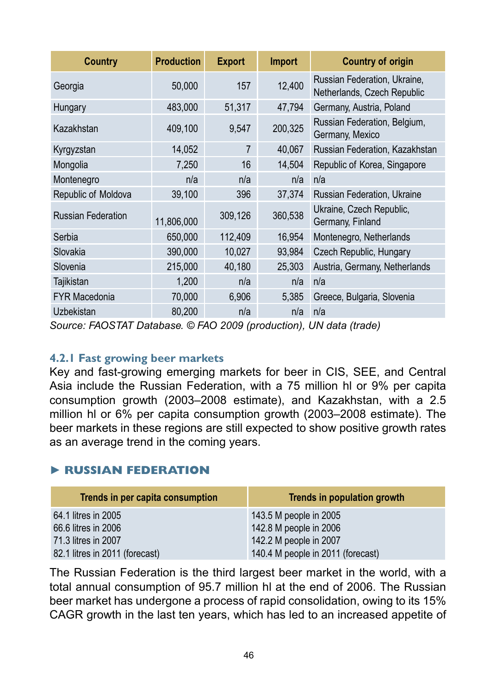| <b>Country</b>            | <b>Production</b> | <b>Export</b> | <b>Import</b> | <b>Country of origin</b>                                    |
|---------------------------|-------------------|---------------|---------------|-------------------------------------------------------------|
| Georgia                   | 50,000            | 157           | 12,400        | Russian Federation, Ukraine,<br>Netherlands, Czech Republic |
| Hungary                   | 483.000           | 51,317        | 47,794        | Germany, Austria, Poland                                    |
| Kazakhstan                | 409.100           | 9.547         | 200,325       | Russian Federation, Belgium,<br>Germany, Mexico             |
| Kyrgyzstan                | 14,052            | 7             | 40.067        | Russian Federation, Kazakhstan                              |
| Mongolia                  | 7,250             | 16            | 14.504        | Republic of Korea, Singapore                                |
| Montenegro                | n/a               | n/a           | n/a           | n/a                                                         |
| Republic of Moldova       | 39,100            | 396           | 37,374        | Russian Federation, Ukraine                                 |
| <b>Russian Federation</b> | 11,806,000        | 309,126       | 360,538       | Ukraine, Czech Republic,<br>Germany, Finland                |
| Serbia                    | 650,000           | 112,409       | 16,954        | Montenegro, Netherlands                                     |
| Slovakia                  | 390,000           | 10,027        | 93,984        | Czech Republic, Hungary                                     |
| Slovenia                  | 215,000           | 40.180        | 25,303        | Austria, Germany, Netherlands                               |
| Tajikistan                | 1,200             | n/a           | n/a           | n/a                                                         |
| <b>FYR Macedonia</b>      | 70,000            | 6,906         | 5,385         | Greece, Bulgaria, Slovenia                                  |
| Uzbekistan                | 80,200            | n/a           | n/a           | n/a                                                         |

*Source: FAOSTAT Database. © FAO 2009 (production), UN data (trade)* 

# **4.2.1 Fast growing beer markets**

Key and fast-growing emerging markets for beer in CIS, SEE, and Central Asia include the Russian Federation, with a 75 million hl or 9% per capita consumption growth (2003–2008 estimate), and Kazakhstan, with a 2.5 million hl or 6% per capita consumption growth (2003–2008 estimate). The beer markets in these regions are still expected to show positive growth rates as an average trend in the coming years.

# ► **RUSSIAN FEDERATION**

| Trends in per capita consumption | Trends in population growth       |
|----------------------------------|-----------------------------------|
| 64.1 litres in 2005              | 143.5 M people in 2005            |
| 66.6 litres in 2006              | 142.8 M people in 2006            |
| 71.3 litres in 2007              | 142.2 M people in 2007            |
| 82.1 litres in 2011 (forecast)   | 140.4 M people in 2011 (forecast) |

The Russian Federation is the third largest beer market in the world, with a total annual consumption of 95.7 million hl at the end of 2006. The Russian beer market has undergone a process of rapid consolidation, owing to its 15% CAGR growth in the last ten years, which has led to an increased appetite of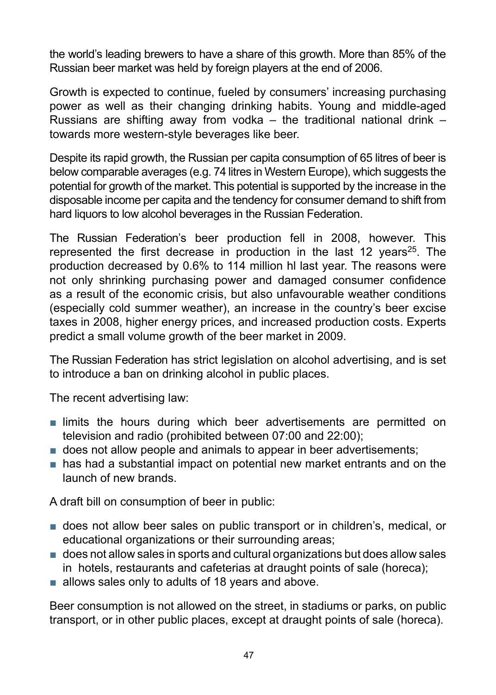the world's leading brewers to have a share of this growth. More than 85% of the Russian beer market was held by foreign players at the end of 2006.

Growth is expected to continue, fueled by consumers' increasing purchasing power as well as their changing drinking habits. Young and middle-aged Russians are shifting away from vodka – the traditional national drink – towards more western-style beverages like beer.

Despite its rapid growth, the Russian per capita consumption of 65 litres of beer is below comparable averages (e.g. 74 litres in Western Europe), which suggests the potential for growth of the market. This potential is supported by the increase in the disposable income per capita and the tendency for consumer demand to shift from hard liquors to low alcohol beverages in the Russian Federation.

The Russian Federation's beer production fell in 2008, however. This represented the first decrease in production in the last 12 years<sup>25</sup>. The production decreased by 0.6% to 114 million hl last year. The reasons were not only shrinking purchasing power and damaged consumer confidence as a result of the economic crisis, but also unfavourable weather conditions (especially cold summer weather), an increase in the country's beer excise taxes in 2008, higher energy prices, and increased production costs. Experts predict a small volume growth of the beer market in 2009.

The Russian Federation has strict legislation on alcohol advertising, and is set to introduce a ban on drinking alcohol in public places.

The recent advertising law:

- limits the hours during which beer advertisements are permitted on television and radio (prohibited between 07:00 and 22:00);
- does not allow people and animals to appear in beer advertisements;
- has had a substantial impact on potential new market entrants and on the launch of new brands.

A draft bill on consumption of beer in public:

- does not allow beer sales on public transport or in children's, medical, or educational organizations or their surrounding areas;
- does not allow sales in sports and cultural organizations but does allow sales in hotels, restaurants and cafeterias at draught points of sale (horeca);
- allows sales only to adults of 18 years and above.

Beer consumption is not allowed on the street, in stadiums or parks, on public transport, or in other public places, except at draught points of sale (horeca).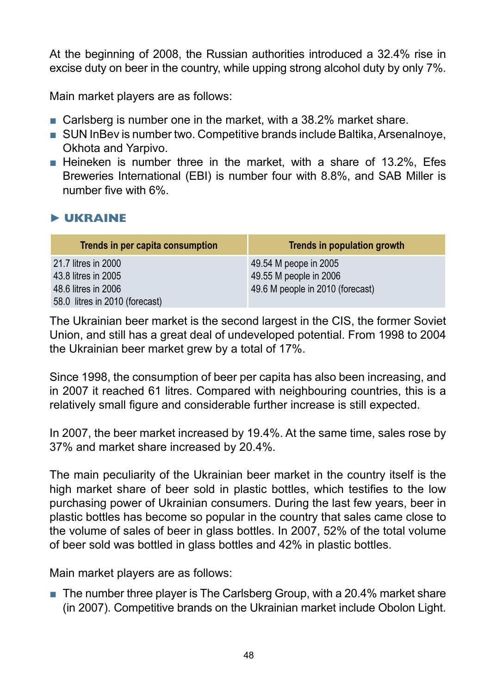At the beginning of 2008, the Russian authorities introduced a 32.4% rise in excise duty on beer in the country, while upping strong alcohol duty by only 7%.

Main market players are as follows:

- Carlsberg is number one in the market, with a 38.2% market share.
- SUN InBev is number two. Competitive brands include Baltika, Arsenalnoye, Okhota and Yarpivo.
- Heineken is number three in the market, with a share of 13.2%, Efes Breweries International (EBI) is number four with 8.8%, and SAB Miller is number five with 6%.

# ► **UKRAINE**

| Trends in per capita consumption | Trends in population growth      |
|----------------------------------|----------------------------------|
| 21.7 litres in 2000              | 49.54 M peope in 2005            |
| 43.8 litres in 2005              | 49.55 M people in 2006           |
| 48.6 litres in 2006              | 49.6 M people in 2010 (forecast) |
| 58.0 litres in 2010 (forecast)   |                                  |

The Ukrainian beer market is the second largest in the CIS, the former Soviet Union, and still has a great deal of undeveloped potential. From 1998 to 2004 the Ukrainian beer market grew by a total of 17%.

Since 1998, the consumption of beer per capita has also been increasing, and in 2007 it reached 61 litres. Compared with neighbouring countries, this is a relatively small figure and considerable further increase is still expected.

In 2007, the beer market increased by 19.4%. At the same time, sales rose by 37% and market share increased by 20.4%.

The main peculiarity of the Ukrainian beer market in the country itself is the high market share of beer sold in plastic bottles, which testifies to the low purchasing power of Ukrainian consumers. During the last few years, beer in plastic bottles has become so popular in the country that sales came close to the volume of sales of beer in glass bottles. In 2007, 52% of the total volume of beer sold was bottled in glass bottles and 42% in plastic bottles.

Main market players are as follows:

■ The number three player is The Carlsberg Group, with a 20.4% market share (in 2007). Competitive brands on the Ukrainian market include Obolon Light.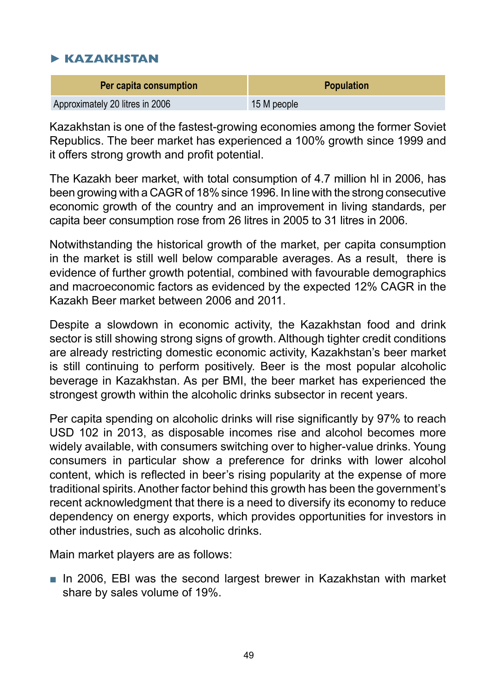# ► **KAZAKHSTAN**

| Per capita consumption          | <b>Population</b> |
|---------------------------------|-------------------|
| Approximately 20 litres in 2006 | 15 M people       |

Kazakhstan is one of the fastest-growing economies among the former Soviet Republics. The beer market has experienced a 100% growth since 1999 and it offers strong growth and profit potential.

The Kazakh beer market, with total consumption of 4.7 million hl in 2006, has been growing with a CAGR of 18% since 1996. In line with the strong consecutive economic growth of the country and an improvement in living standards, per capita beer consumption rose from 26 litres in 2005 to 31 litres in 2006.

Notwithstanding the historical growth of the market, per capita consumption in the market is still well below comparable averages. As a result, there is evidence of further growth potential, combined with favourable demographics and macroeconomic factors as evidenced by the expected 12% CAGR in the Kazakh Beer market between 2006 and 2011.

Despite a slowdown in economic activity, the Kazakhstan food and drink sector is still showing strong signs of growth. Although tighter credit conditions are already restricting domestic economic activity, Kazakhstan's beer market is still continuing to perform positively. Beer is the most popular alcoholic beverage in Kazakhstan. As per BMI, the beer market has experienced the strongest growth within the alcoholic drinks subsector in recent years.

Per capita spending on alcoholic drinks will rise significantly by 97% to reach USD 102 in 2013, as disposable incomes rise and alcohol becomes more widely available, with consumers switching over to higher-value drinks. Young consumers in particular show a preference for drinks with lower alcohol content, which is reflected in beer's rising popularity at the expense of more traditional spirits. Another factor behind this growth has been the government's recent acknowledgment that there is a need to diversify its economy to reduce dependency on energy exports, which provides opportunities for investors in other industries, such as alcoholic drinks.

Main market players are as follows:

■ In 2006, EBI was the second largest brewer in Kazakhstan with market share by sales volume of 19%.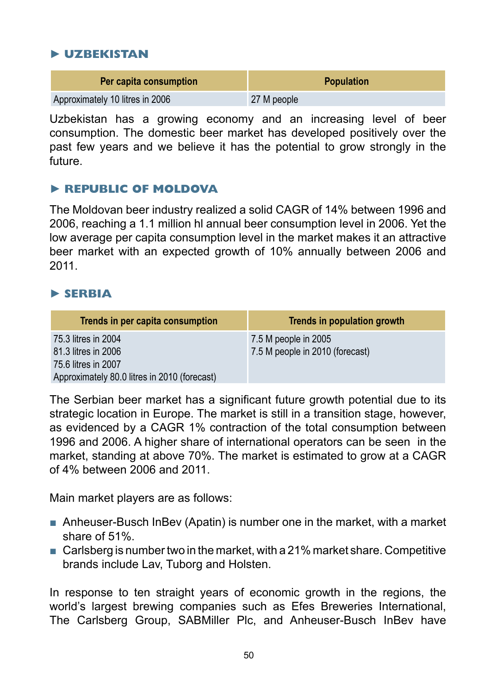# ► **UZBEKISTAN**

| Per capita consumption          | <b>Population</b> |
|---------------------------------|-------------------|
| Approximately 10 litres in 2006 | 27 M people       |

Uzbekistan has a growing economy and an increasing level of beer consumption. The domestic beer market has developed positively over the past few years and we believe it has the potential to grow strongly in the future.

# ► **REPUBLIC OF MOLDOVA**

The Moldovan beer industry realized a solid CAGR of 14% between 1996 and 2006, reaching a 1.1 million hl annual beer consumption level in 2006. Yet the low average per capita consumption level in the market makes it an attractive beer market with an expected growth of 10% annually between 2006 and 2011.

# ► **SERBIA**

| Trends in per capita consumption             | Trends in population growth     |
|----------------------------------------------|---------------------------------|
| 75.3 litres in 2004                          | 7.5 M people in 2005            |
| 81.3 litres in 2006                          | 7.5 M people in 2010 (forecast) |
| 75.6 litres in 2007                          |                                 |
| Approximately 80.0 litres in 2010 (forecast) |                                 |

The Serbian beer market has a significant future growth potential due to its strategic location in Europe. The market is still in a transition stage, however, as evidenced by a CAGR 1% contraction of the total consumption between 1996 and 2006. A higher share of international operators can be seen in the market, standing at above 70%. The market is estimated to grow at a CAGR of 4% between 2006 and 2011.

Main market players are as follows:

- Anheuser-Busch InBev (Apatin) is number one in the market, with a market share of 51%.
- Carlsberg is number two in the market, with a 21% market share. Competitive brands include Lav, Tuborg and Holsten.

In response to ten straight years of economic growth in the regions, the world's largest brewing companies such as Efes Breweries International, The Carlsberg Group, SABMiller Plc, and Anheuser-Busch InBev have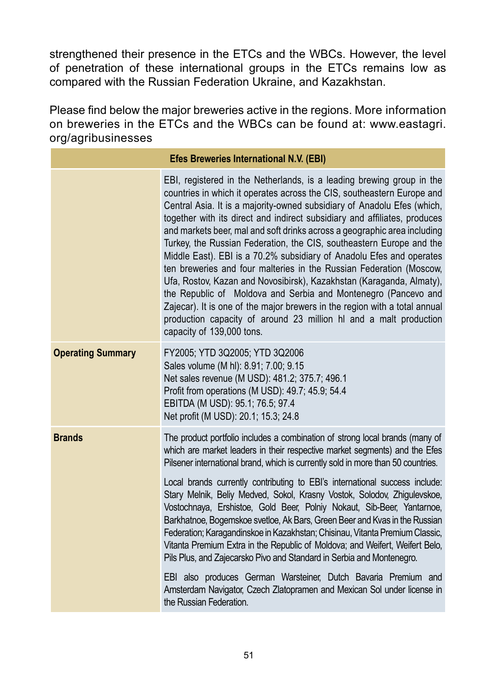strengthened their presence in the ETCs and the WBCs. However, the level of penetration of these international groups in the ETCs remains low as compared with the Russian Federation Ukraine, and Kazakhstan.

Please find below the major breweries active in the regions. More information on breweries in the ETCs and the WBCs can be found at: www.eastagri. org/agribusinesses

| <b>Efes Breweries International N.V. (EBI)</b> |                                                                                                                                                                                                                                                                                                                                                                                                                                                                                                                                                                                                                                                                                                                                                                                                                                                                                                                                      |
|------------------------------------------------|--------------------------------------------------------------------------------------------------------------------------------------------------------------------------------------------------------------------------------------------------------------------------------------------------------------------------------------------------------------------------------------------------------------------------------------------------------------------------------------------------------------------------------------------------------------------------------------------------------------------------------------------------------------------------------------------------------------------------------------------------------------------------------------------------------------------------------------------------------------------------------------------------------------------------------------|
|                                                | EBI, registered in the Netherlands, is a leading brewing group in the<br>countries in which it operates across the CIS, southeastern Europe and<br>Central Asia. It is a majority-owned subsidiary of Anadolu Efes (which,<br>together with its direct and indirect subsidiary and affiliates, produces<br>and markets beer, mal and soft drinks across a geographic area including<br>Turkey, the Russian Federation, the CIS, southeastern Europe and the<br>Middle East). EBI is a 70.2% subsidiary of Anadolu Efes and operates<br>ten breweries and four malteries in the Russian Federation (Moscow,<br>Ufa, Rostov, Kazan and Novosibirsk), Kazakhstan (Karaganda, Almaty),<br>the Republic of Moldova and Serbia and Montenegro (Pancevo and<br>Zajecar). It is one of the major brewers in the region with a total annual<br>production capacity of around 23 million hl and a malt production<br>capacity of 139,000 tons. |
| <b>Operating Summary</b>                       | FY2005; YTD 3Q2005; YTD 3Q2006<br>Sales volume (M hl): 8.91; 7.00; 9.15<br>Net sales revenue (M USD): 481.2; 375.7; 496.1<br>Profit from operations (M USD): 49.7; 45.9; 54.4<br>EBITDA (M USD): 95.1; 76.5; 97.4<br>Net profit (M USD): 20.1; 15.3; 24.8                                                                                                                                                                                                                                                                                                                                                                                                                                                                                                                                                                                                                                                                            |
| <b>Brands</b>                                  | The product portfolio includes a combination of strong local brands (many of<br>which are market leaders in their respective market segments) and the Efes<br>Pilsener international brand, which is currently sold in more than 50 countries.<br>Local brands currently contributing to EBI's international success include:<br>Stary Melnik, Beliy Medved, Sokol, Krasny Vostok, Solodov, Zhigulevskoe,<br>Vostochnaya, Ershistoe, Gold Beer, Polniy Nokaut, Sib-Beer, Yantarnoe,<br>Barkhatnoe, Bogemskoe svetloe, Ak Bars, Green Beer and Kvas in the Russian<br>Federation; Karagandinskoe in Kazakhstan; Chisinau, Vitanta Premium Classic,<br>Vitanta Premium Extra in the Republic of Moldova; and Weifert, Weifert Belo,<br>Pils Plus, and Zajecarsko Pivo and Standard in Serbia and Montenegro.                                                                                                                           |
|                                                | EBI also produces German Warsteiner, Dutch Bavaria Premium and<br>Amsterdam Navigator, Czech Zlatopramen and Mexican Sol under license in<br>the Russian Federation.                                                                                                                                                                                                                                                                                                                                                                                                                                                                                                                                                                                                                                                                                                                                                                 |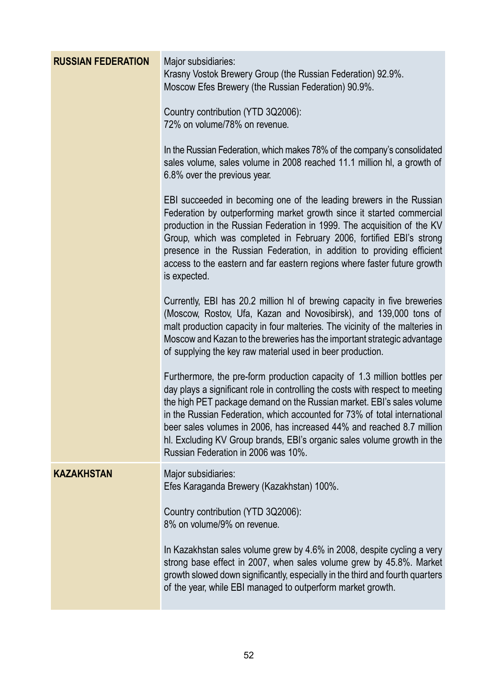| <b>RUSSIAN FEDERATION</b> | Major subsidiaries:<br>Krasny Vostok Brewery Group (the Russian Federation) 92.9%.<br>Moscow Efes Brewery (the Russian Federation) 90.9%.                                                                                                                                                                                                                                                                                                                                                                  |
|---------------------------|------------------------------------------------------------------------------------------------------------------------------------------------------------------------------------------------------------------------------------------------------------------------------------------------------------------------------------------------------------------------------------------------------------------------------------------------------------------------------------------------------------|
|                           | Country contribution (YTD 3Q2006):<br>72% on volume/78% on revenue.                                                                                                                                                                                                                                                                                                                                                                                                                                        |
|                           | In the Russian Federation, which makes 78% of the company's consolidated<br>sales volume, sales volume in 2008 reached 11.1 million hl, a growth of<br>6.8% over the previous year.                                                                                                                                                                                                                                                                                                                        |
|                           | EBI succeeded in becoming one of the leading brewers in the Russian<br>Federation by outperforming market growth since it started commercial<br>production in the Russian Federation in 1999. The acquisition of the KV<br>Group, which was completed in February 2006, fortified EBI's strong<br>presence in the Russian Federation, in addition to providing efficient<br>access to the eastern and far eastern regions where faster future growth<br>is expected.                                       |
|                           | Currently, EBI has 20.2 million hI of brewing capacity in five breweries<br>(Moscow, Rostov, Ufa, Kazan and Novosibirsk), and 139,000 tons of<br>malt production capacity in four malteries. The vicinity of the malteries in<br>Moscow and Kazan to the breweries has the important strategic advantage<br>of supplying the key raw material used in beer production.                                                                                                                                     |
|                           | Furthermore, the pre-form production capacity of 1.3 million bottles per<br>day plays a significant role in controlling the costs with respect to meeting<br>the high PET package demand on the Russian market. EBI's sales volume<br>in the Russian Federation, which accounted for 73% of total international<br>beer sales volumes in 2006, has increased 44% and reached 8.7 million<br>hl. Excluding KV Group brands, EBI's organic sales volume growth in the<br>Russian Federation in 2006 was 10%. |
| <b>KAZAKHSTAN</b>         | Major subsidiaries:<br>Efes Karaganda Brewery (Kazakhstan) 100%.                                                                                                                                                                                                                                                                                                                                                                                                                                           |
|                           | Country contribution (YTD 3Q2006):<br>8% on volume/9% on revenue.                                                                                                                                                                                                                                                                                                                                                                                                                                          |
|                           | In Kazakhstan sales volume grew by 4.6% in 2008, despite cycling a very<br>strong base effect in 2007, when sales volume grew by 45.8%. Market<br>growth slowed down significantly, especially in the third and fourth quarters<br>of the year, while EBI managed to outperform market growth.                                                                                                                                                                                                             |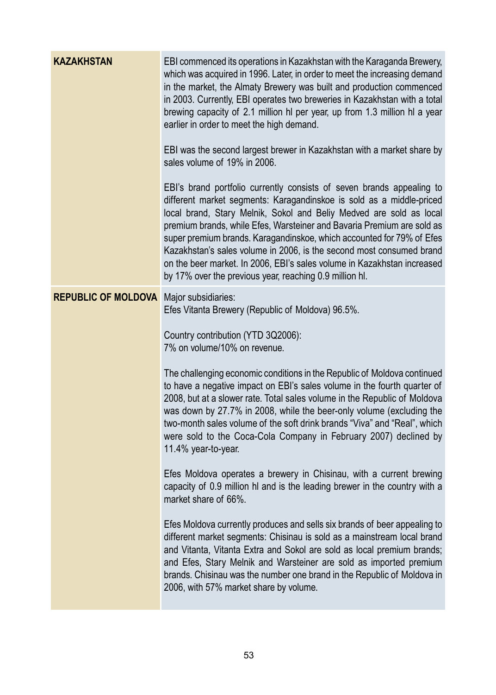| KAZAKHSTAN                 | EBI commenced its operations in Kazakhstan with the Karaganda Brewery,<br>which was acquired in 1996. Later, in order to meet the increasing demand<br>in the market, the Almaty Brewery was built and production commenced<br>in 2003. Currently, EBI operates two breweries in Kazakhstan with a total<br>brewing capacity of 2.1 million hI per year, up from 1.3 million hI a year<br>earlier in order to meet the high demand.<br>EBI was the second largest brewer in Kazakhstan with a market share by<br>sales volume of 19% in 2006.<br>EBI's brand portfolio currently consists of seven brands appealing to<br>different market segments: Karagandinskoe is sold as a middle-priced<br>local brand, Stary Melnik, Sokol and Beliy Medved are sold as local<br>premium brands, while Efes, Warsteiner and Bavaria Premium are sold as<br>super premium brands. Karagandinskoe, which accounted for 79% of Efes<br>Kazakhstan's sales volume in 2006, is the second most consumed brand<br>on the beer market. In 2006, EBI's sales volume in Kazakhstan increased<br>by 17% over the previous year, reaching 0.9 million hl.                                                                                                       |
|----------------------------|----------------------------------------------------------------------------------------------------------------------------------------------------------------------------------------------------------------------------------------------------------------------------------------------------------------------------------------------------------------------------------------------------------------------------------------------------------------------------------------------------------------------------------------------------------------------------------------------------------------------------------------------------------------------------------------------------------------------------------------------------------------------------------------------------------------------------------------------------------------------------------------------------------------------------------------------------------------------------------------------------------------------------------------------------------------------------------------------------------------------------------------------------------------------------------------------------------------------------------------------|
| <b>REPUBLIC OF MOLDOVA</b> | Major subsidiaries:<br>Efes Vitanta Brewery (Republic of Moldova) 96.5%.<br>Country contribution (YTD 3Q2006):<br>7% on volume/10% on revenue.<br>The challenging economic conditions in the Republic of Moldova continued<br>to have a negative impact on EBI's sales volume in the fourth quarter of<br>2008, but at a slower rate. Total sales volume in the Republic of Moldova<br>was down by 27.7% in 2008, while the beer-only volume (excluding the<br>two-month sales volume of the soft drink brands "Viva" and "Real", which<br>were sold to the Coca-Cola Company in February 2007) declined by<br>11.4% year-to-year.<br>Efes Moldova operates a brewery in Chisinau, with a current brewing<br>capacity of 0.9 million hl and is the leading brewer in the country with a<br>market share of 66%.<br>Efes Moldova currently produces and sells six brands of beer appealing to<br>different market segments: Chisinau is sold as a mainstream local brand<br>and Vitanta, Vitanta Extra and Sokol are sold as local premium brands;<br>and Efes, Stary Melnik and Warsteiner are sold as imported premium<br>brands. Chisinau was the number one brand in the Republic of Moldova in<br>2006, with 57% market share by volume. |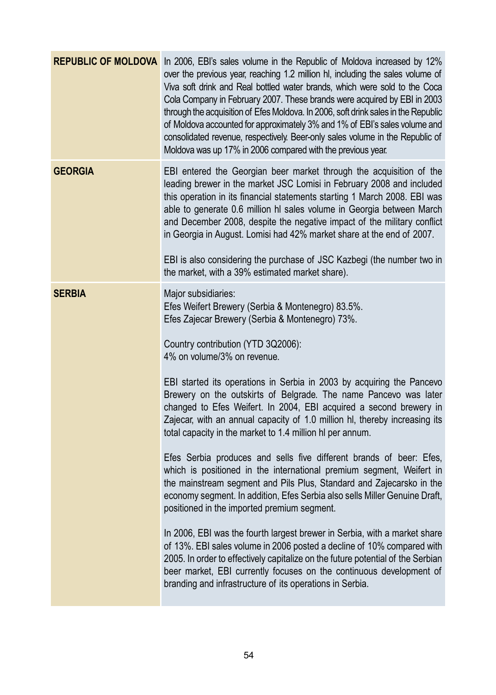|                | REPUBLIC OF MOLDOVA In 2006, EBI's sales volume in the Republic of Moldova increased by 12%<br>over the previous year, reaching 1.2 million hl, including the sales volume of<br>Viva soft drink and Real bottled water brands, which were sold to the Coca<br>Cola Company in February 2007. These brands were acquired by EBI in 2003<br>through the acquisition of Efes Moldova. In 2006, soft drink sales in the Republic<br>of Moldova accounted for approximately 3% and 1% of EBI's sales volume and<br>consolidated revenue, respectively. Beer-only sales volume in the Republic of<br>Moldova was up 17% in 2006 compared with the previous year.                                                                                                                                                                                                                                                                                                                                                                                                                                                                                                                                                                                                                                     |
|----------------|-------------------------------------------------------------------------------------------------------------------------------------------------------------------------------------------------------------------------------------------------------------------------------------------------------------------------------------------------------------------------------------------------------------------------------------------------------------------------------------------------------------------------------------------------------------------------------------------------------------------------------------------------------------------------------------------------------------------------------------------------------------------------------------------------------------------------------------------------------------------------------------------------------------------------------------------------------------------------------------------------------------------------------------------------------------------------------------------------------------------------------------------------------------------------------------------------------------------------------------------------------------------------------------------------|
| <b>GEORGIA</b> | EBI entered the Georgian beer market through the acquisition of the<br>leading brewer in the market JSC Lomisi in February 2008 and included<br>this operation in its financial statements starting 1 March 2008. EBI was<br>able to generate 0.6 million hI sales volume in Georgia between March<br>and December 2008, despite the negative impact of the military conflict<br>in Georgia in August. Lomisi had 42% market share at the end of 2007.<br>EBI is also considering the purchase of JSC Kazbegi (the number two in<br>the market, with a 39% estimated market share).                                                                                                                                                                                                                                                                                                                                                                                                                                                                                                                                                                                                                                                                                                             |
| <b>SERBIA</b>  | Major subsidiaries:<br>Efes Weifert Brewery (Serbia & Montenegro) 83.5%.<br>Efes Zajecar Brewery (Serbia & Montenegro) 73%.<br>Country contribution (YTD 3Q2006):<br>4% on volume/3% on revenue.<br>EBI started its operations in Serbia in 2003 by acquiring the Pancevo<br>Brewery on the outskirts of Belgrade. The name Pancevo was later<br>changed to Efes Weifert. In 2004, EBI acquired a second brewery in<br>Zajecar, with an annual capacity of 1.0 million hl, thereby increasing its<br>total capacity in the market to 1.4 million hI per annum.<br>Efes Serbia produces and sells five different brands of beer: Efes,<br>which is positioned in the international premium segment, Weifert in<br>the mainstream segment and Pils Plus, Standard and Zajecarsko in the<br>economy segment. In addition, Efes Serbia also sells Miller Genuine Draft,<br>positioned in the imported premium segment.<br>In 2006, EBI was the fourth largest brewer in Serbia, with a market share<br>of 13%. EBI sales volume in 2006 posted a decline of 10% compared with<br>2005. In order to effectively capitalize on the future potential of the Serbian<br>beer market, EBI currently focuses on the continuous development of<br>branding and infrastructure of its operations in Serbia. |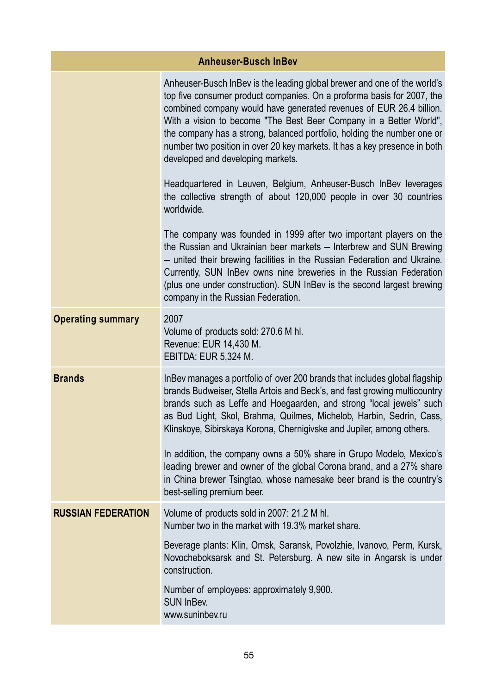| <b>Anheuser-Busch InBev</b> |                                                                                                                                                                                                                                                                                                                                                                                                                                                                                              |  |
|-----------------------------|----------------------------------------------------------------------------------------------------------------------------------------------------------------------------------------------------------------------------------------------------------------------------------------------------------------------------------------------------------------------------------------------------------------------------------------------------------------------------------------------|--|
|                             | Anheuser-Busch InBev is the leading global brewer and one of the world's<br>top five consumer product companies. On a proforma basis for 2007, the<br>combined company would have generated revenues of EUR 26.4 billion.<br>With a vision to become "The Best Beer Company in a Better World",<br>the company has a strong, balanced portfolio, holding the number one or<br>number two position in over 20 key markets. It has a key presence in both<br>developed and developing markets. |  |
|                             | Headquartered in Leuven, Belgium, Anheuser-Busch InBev leverages<br>the collective strength of about 120,000 people in over 30 countries<br>worldwide.                                                                                                                                                                                                                                                                                                                                       |  |
|                             | The company was founded in 1999 after two important players on the<br>the Russian and Ukrainian beer markets - Interbrew and SUN Brewing<br>- united their brewing facilities in the Russian Federation and Ukraine.<br>Currently, SUN InBev owns nine breweries in the Russian Federation<br>(plus one under construction). SUN InBev is the second largest brewing<br>company in the Russian Federation.                                                                                   |  |
| <b>Operating summary</b>    | 2007<br>Volume of products sold: 270.6 M hl.<br>Revenue: EUR 14,430 M.<br>EBITDA: EUR 5,324 M.                                                                                                                                                                                                                                                                                                                                                                                               |  |
| <b>Brands</b>               | InBev manages a portfolio of over 200 brands that includes global flagship<br>brands Budweiser, Stella Artois and Beck's, and fast growing multicountry<br>brands such as Leffe and Hoegaarden, and strong "local jewels" such<br>as Bud Light, Skol, Brahma, Quilmes, Michelob, Harbin, Sedrin, Cass,<br>Klinskoye, Sibirskaya Korona, Chernigivske and Jupiler, among others.                                                                                                              |  |
|                             | In addition, the company owns a 50% share in Grupo Modelo, Mexico's<br>leading brewer and owner of the global Corona brand, and a 27% share<br>in China brewer Tsingtao, whose namesake beer brand is the country's<br>best-selling premium beer.                                                                                                                                                                                                                                            |  |
| <b>RUSSIAN FEDERATION</b>   | Volume of products sold in 2007: 21.2 M hl.<br>Number two in the market with 19.3% market share.                                                                                                                                                                                                                                                                                                                                                                                             |  |
|                             | Beverage plants: Klin, Omsk, Saransk, Povolzhie, Ivanovo, Perm, Kursk,<br>Novocheboksarsk and St. Petersburg. A new site in Angarsk is under<br>construction.                                                                                                                                                                                                                                                                                                                                |  |
|                             | Number of employees: approximately 9,900.<br><b>SUN InBev.</b><br>www.suninbev.ru                                                                                                                                                                                                                                                                                                                                                                                                            |  |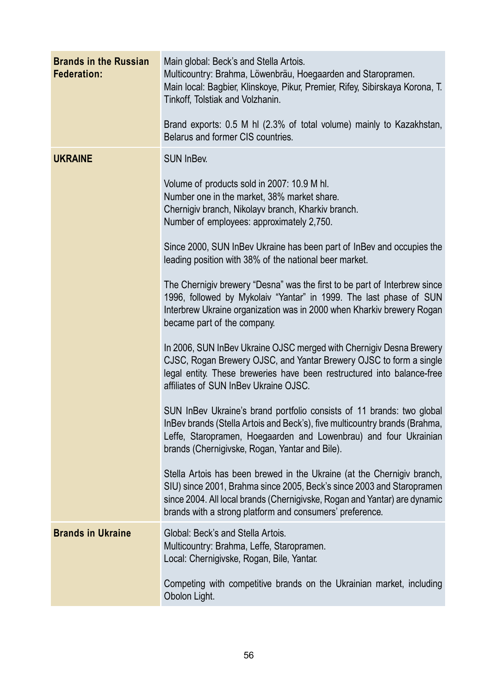| <b>Brands in the Russian</b><br><b>Federation:</b> | Main global: Beck's and Stella Artois.<br>Multicountry: Brahma, Löwenbräu, Hoegaarden and Staropramen.<br>Main local: Bagbier, Klinskoye, Pikur, Premier, Rifey, Sibirskaya Korona, T.<br>Tinkoff, Tolstiak and Volzhanin.<br>Brand exports: 0.5 M hl (2.3% of total volume) mainly to Kazakhstan,<br>Belarus and former CIS countries. |
|----------------------------------------------------|-----------------------------------------------------------------------------------------------------------------------------------------------------------------------------------------------------------------------------------------------------------------------------------------------------------------------------------------|
| <b>UKRAINE</b>                                     | <b>SUN InBev.</b><br>Volume of products sold in 2007: 10.9 M hl.<br>Number one in the market, 38% market share.<br>Chernigiv branch, Nikolayv branch, Kharkiv branch.<br>Number of employees: approximately 2,750.                                                                                                                      |
|                                                    | Since 2000, SUN InBev Ukraine has been part of InBev and occupies the<br>leading position with 38% of the national beer market.                                                                                                                                                                                                         |
|                                                    | The Chernigiv brewery "Desna" was the first to be part of Interbrew since<br>1996, followed by Mykolaiv "Yantar" in 1999. The last phase of SUN<br>Interbrew Ukraine organization was in 2000 when Kharkiv brewery Rogan<br>became part of the company.                                                                                 |
|                                                    | In 2006, SUN InBev Ukraine OJSC merged with Chernigiv Desna Brewery<br>CJSC, Rogan Brewery OJSC, and Yantar Brewery OJSC to form a single<br>legal entity. These breweries have been restructured into balance-free<br>affiliates of SUN InBev Ukraine OJSC.                                                                            |
|                                                    | SUN InBev Ukraine's brand portfolio consists of 11 brands: two global<br>InBev brands (Stella Artois and Beck's), five multicountry brands (Brahma,<br>Leffe, Staropramen, Hoegaarden and Lowenbrau) and four Ukrainian<br>brands (Chernigivske, Rogan, Yantar and Bile).                                                               |
|                                                    | Stella Artois has been brewed in the Ukraine (at the Chernigiv branch,<br>SIU) since 2001, Brahma since 2005, Beck's since 2003 and Staropramen<br>since 2004. All local brands (Chernigivske, Rogan and Yantar) are dynamic<br>brands with a strong platform and consumers' preference.                                                |
| <b>Brands in Ukraine</b>                           | Global: Beck's and Stella Artois.<br>Multicountry: Brahma, Leffe, Staropramen.<br>Local: Chernigivske, Rogan, Bile, Yantar.                                                                                                                                                                                                             |
|                                                    | Competing with competitive brands on the Ukrainian market, including<br>Obolon Light.                                                                                                                                                                                                                                                   |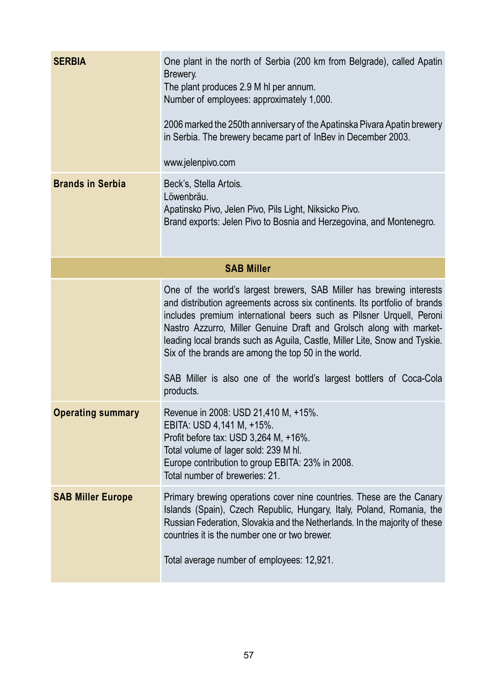| <b>SERBIA</b>            | One plant in the north of Serbia (200 km from Belgrade), called Apatin<br>Brewery.<br>The plant produces 2.9 M hl per annum.<br>Number of employees: approximately 1,000.<br>2006 marked the 250th anniversary of the Apatinska Pivara Apatin brewery<br>in Serbia. The brewery became part of InBev in December 2003.<br>www.jelenpivo.com                                                                                                                                                                                 |  |
|--------------------------|-----------------------------------------------------------------------------------------------------------------------------------------------------------------------------------------------------------------------------------------------------------------------------------------------------------------------------------------------------------------------------------------------------------------------------------------------------------------------------------------------------------------------------|--|
| <b>Brands in Serbia</b>  | Beck's, Stella Artois.<br>Löwenbräu.<br>Apatinsko Pivo, Jelen Pivo, Pils Light, Niksicko Pivo.<br>Brand exports: Jelen Pivo to Bosnia and Herzegovina, and Montenegro.                                                                                                                                                                                                                                                                                                                                                      |  |
| <b>SAB Miller</b>        |                                                                                                                                                                                                                                                                                                                                                                                                                                                                                                                             |  |
|                          | One of the world's largest brewers, SAB Miller has brewing interests<br>and distribution agreements across six continents. Its portfolio of brands<br>includes premium international beers such as Pilsner Urquell, Peroni<br>Nastro Azzurro, Miller Genuine Draft and Grolsch along with market-<br>leading local brands such as Aguila, Castle, Miller Lite, Snow and Tyskie.<br>Six of the brands are among the top 50 in the world.<br>SAB Miller is also one of the world's largest bottlers of Coca-Cola<br>products. |  |
| <b>Operating summary</b> | Revenue in 2008: USD 21,410 M, +15%.<br>EBITA: USD 4,141 M, +15%.<br>Profit before tax: USD 3,264 M, +16%.<br>Total volume of lager sold: 239 M hl.<br>Europe contribution to group EBITA: 23% in 2008.<br>Total number of breweries: 21.                                                                                                                                                                                                                                                                                   |  |
| <b>SAB Miller Europe</b> | Primary brewing operations cover nine countries. These are the Canary<br>Islands (Spain), Czech Republic, Hungary, Italy, Poland, Romania, the<br>Russian Federation, Slovakia and the Netherlands. In the majority of these<br>countries it is the number one or two brewer.<br>Total average number of employees: 12,921.                                                                                                                                                                                                 |  |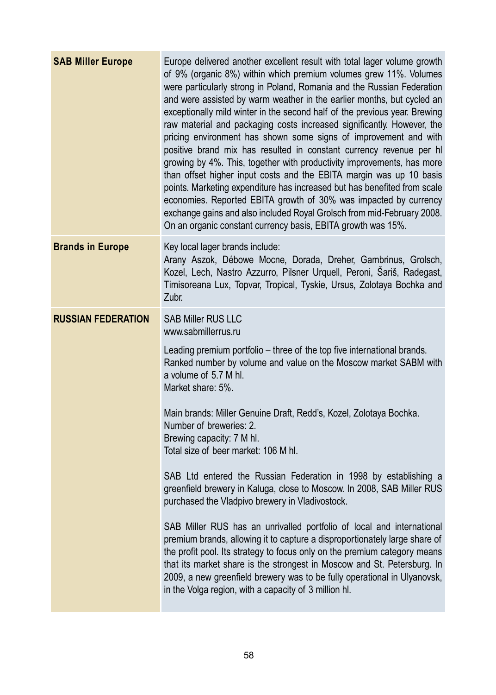| <b>SAB Miller Europe</b>  | Europe delivered another excellent result with total lager volume growth<br>of 9% (organic 8%) within which premium volumes grew 11%. Volumes<br>were particularly strong in Poland, Romania and the Russian Federation<br>and were assisted by warm weather in the earlier months, but cycled an<br>exceptionally mild winter in the second half of the previous year. Brewing<br>raw material and packaging costs increased significantly. However, the<br>pricing environment has shown some signs of improvement and with<br>positive brand mix has resulted in constant currency revenue per hl<br>growing by 4%. This, together with productivity improvements, has more<br>than offset higher input costs and the EBITA margin was up 10 basis<br>points. Marketing expenditure has increased but has benefited from scale<br>economies. Reported EBITA growth of 30% was impacted by currency<br>exchange gains and also included Royal Grolsch from mid-February 2008.<br>On an organic constant currency basis, EBITA growth was 15%. |
|---------------------------|-------------------------------------------------------------------------------------------------------------------------------------------------------------------------------------------------------------------------------------------------------------------------------------------------------------------------------------------------------------------------------------------------------------------------------------------------------------------------------------------------------------------------------------------------------------------------------------------------------------------------------------------------------------------------------------------------------------------------------------------------------------------------------------------------------------------------------------------------------------------------------------------------------------------------------------------------------------------------------------------------------------------------------------------------|
| <b>Brands in Europe</b>   | Key local lager brands include:<br>Arany Aszok, Débowe Mocne, Dorada, Dreher, Gambrinus, Grolsch,<br>Kozel, Lech, Nastro Azzurro, Pilsner Urquell, Peroni, Šariš, Radegast,<br>Timisoreana Lux, Topvar, Tropical, Tyskie, Ursus, Zolotaya Bochka and<br>Zubr.                                                                                                                                                                                                                                                                                                                                                                                                                                                                                                                                                                                                                                                                                                                                                                                   |
| <b>RUSSIAN FEDERATION</b> | <b>SAB Miller RUS LLC</b><br>www.sabmillerrus.ru<br>Leading premium portfolio - three of the top five international brands.<br>Ranked number by volume and value on the Moscow market SABM with<br>a volume of 5.7 M hl.<br>Market share: 5%.<br>Main brands: Miller Genuine Draft, Redd's, Kozel, Zolotaya Bochka.<br>Number of breweries: 2.<br>Brewing capacity: 7 M hl.<br>Total size of beer market: 106 M hl.<br>SAB Ltd entered the Russian Federation in 1998 by establishing a<br>greenfield brewery in Kaluga, close to Moscow. In 2008, SAB Miller RUS<br>purchased the Vladpivo brewery in Vladivostock.<br>SAB Miller RUS has an unrivalled portfolio of local and international<br>premium brands, allowing it to capture a disproportionately large share of<br>the profit pool. Its strategy to focus only on the premium category means<br>that its market share is the strongest in Moscow and St. Petersburg. In<br>2009, a new greenfield brewery was to be fully operational in Ulyanovsk,                                 |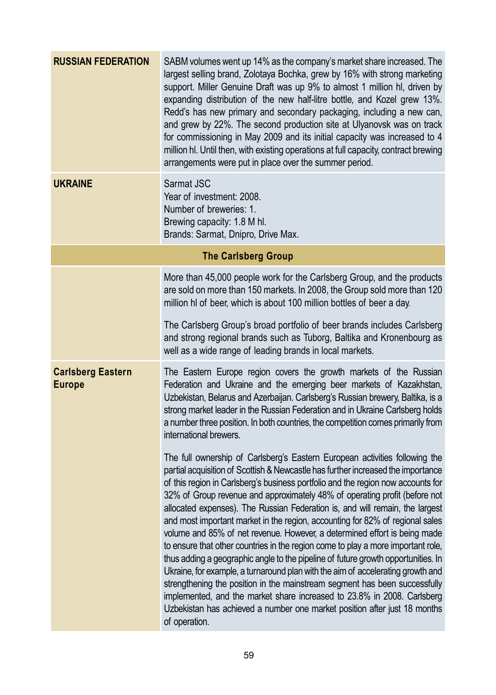| <b>RUSSIAN FEDERATION</b>                 | SABM volumes went up 14% as the company's market share increased. The<br>largest selling brand, Zolotaya Bochka, grew by 16% with strong marketing<br>support. Miller Genuine Draft was up 9% to almost 1 million hl, driven by<br>expanding distribution of the new half-litre bottle, and Kozel grew 13%.<br>Redd's has new primary and secondary packaging, including a new can,<br>and grew by 22%. The second production site at Ulyanovsk was on track<br>for commissioning in May 2009 and its initial capacity was increased to 4<br>million hl. Until then, with existing operations at full capacity, contract brewing<br>arrangements were put in place over the summer period.                                                                                                                                                                                                                                                                                                                                                                                                         |  |
|-------------------------------------------|----------------------------------------------------------------------------------------------------------------------------------------------------------------------------------------------------------------------------------------------------------------------------------------------------------------------------------------------------------------------------------------------------------------------------------------------------------------------------------------------------------------------------------------------------------------------------------------------------------------------------------------------------------------------------------------------------------------------------------------------------------------------------------------------------------------------------------------------------------------------------------------------------------------------------------------------------------------------------------------------------------------------------------------------------------------------------------------------------|--|
| <b>UKRAINE</b>                            | Sarmat JSC<br>Year of investment: 2008.<br>Number of breweries: 1.<br>Brewing capacity: 1.8 M hl.<br>Brands: Sarmat, Dnipro, Drive Max.                                                                                                                                                                                                                                                                                                                                                                                                                                                                                                                                                                                                                                                                                                                                                                                                                                                                                                                                                            |  |
| <b>The Carlsberg Group</b>                |                                                                                                                                                                                                                                                                                                                                                                                                                                                                                                                                                                                                                                                                                                                                                                                                                                                                                                                                                                                                                                                                                                    |  |
|                                           | More than 45,000 people work for the Carlsberg Group, and the products<br>are sold on more than 150 markets. In 2008, the Group sold more than 120<br>million hl of beer, which is about 100 million bottles of beer a day.                                                                                                                                                                                                                                                                                                                                                                                                                                                                                                                                                                                                                                                                                                                                                                                                                                                                        |  |
|                                           | The Carlsberg Group's broad portfolio of beer brands includes Carlsberg<br>and strong regional brands such as Tuborg, Baltika and Kronenbourg as<br>well as a wide range of leading brands in local markets.                                                                                                                                                                                                                                                                                                                                                                                                                                                                                                                                                                                                                                                                                                                                                                                                                                                                                       |  |
| <b>Carlsberg Eastern</b><br><b>Europe</b> | The Eastern Europe region covers the growth markets of the Russian<br>Federation and Ukraine and the emerging beer markets of Kazakhstan,<br>Uzbekistan, Belarus and Azerbaijan. Carlsberg's Russian brewery, Baltika, is a<br>strong market leader in the Russian Federation and in Ukraine Carlsberg holds<br>a number three position. In both countries, the competition comes primarily from<br>international brewers.                                                                                                                                                                                                                                                                                                                                                                                                                                                                                                                                                                                                                                                                         |  |
|                                           | The full ownership of Carlsberg's Eastern European activities following the<br>partial acquisition of Scottish & Newcastle has further increased the importance<br>of this region in Carlsberg's business portfolio and the region now accounts for<br>32% of Group revenue and approximately 48% of operating profit (before not<br>allocated expenses). The Russian Federation is, and will remain, the largest<br>and most important market in the region, accounting for 82% of regional sales<br>volume and 85% of net revenue. However, a determined effort is being made<br>to ensure that other countries in the region come to play a more important role,<br>thus adding a geographic angle to the pipeline of future growth opportunities. In<br>Ukraine, for example, a turnaround plan with the aim of accelerating growth and<br>strengthening the position in the mainstream segment has been successfully<br>implemented, and the market share increased to 23.8% in 2008. Carlsberg<br>Uzbekistan has achieved a number one market position after just 18 months<br>of operation. |  |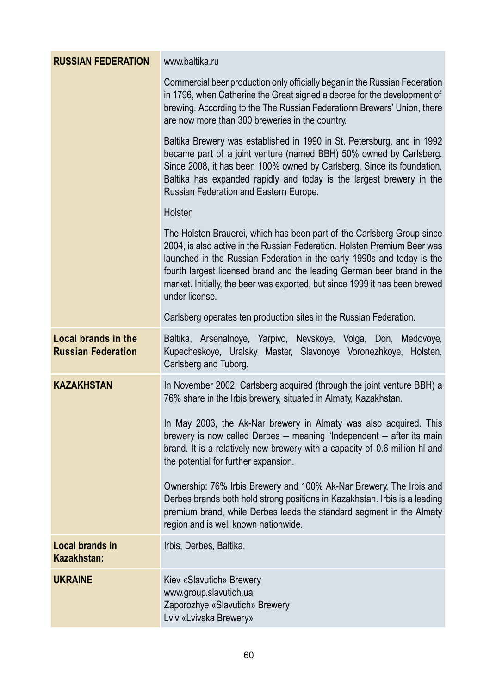| <b>RUSSIAN FEDERATION</b>                        | www.baltika.ru                                                                                                                                                                                                                                                                                                                                                                                          |
|--------------------------------------------------|---------------------------------------------------------------------------------------------------------------------------------------------------------------------------------------------------------------------------------------------------------------------------------------------------------------------------------------------------------------------------------------------------------|
|                                                  | Commercial beer production only officially began in the Russian Federation<br>in 1796, when Catherine the Great signed a decree for the development of<br>brewing. According to the The Russian Federationn Brewers' Union, there<br>are now more than 300 breweries in the country.                                                                                                                    |
|                                                  | Baltika Brewery was established in 1990 in St. Petersburg, and in 1992<br>became part of a joint venture (named BBH) 50% owned by Carlsberg.<br>Since 2008, it has been 100% owned by Carlsberg. Since its foundation,<br>Baltika has expanded rapidly and today is the largest brewery in the<br>Russian Federation and Eastern Europe.                                                                |
|                                                  | Holsten                                                                                                                                                                                                                                                                                                                                                                                                 |
|                                                  | The Holsten Brauerei, which has been part of the Carlsberg Group since<br>2004, is also active in the Russian Federation. Holsten Premium Beer was<br>launched in the Russian Federation in the early 1990s and today is the<br>fourth largest licensed brand and the leading German beer brand in the<br>market. Initially, the beer was exported, but since 1999 it has been brewed<br>under license. |
|                                                  | Carlsberg operates ten production sites in the Russian Federation.                                                                                                                                                                                                                                                                                                                                      |
| Local brands in the<br><b>Russian Federation</b> | Baltika, Arsenalnoye, Yarpivo, Nevskoye, Volga, Don, Medovoye,<br>Kupecheskoye, Uralsky Master, Slavonoye Voronezhkoye, Holsten,<br>Carlsberg and Tuborg.                                                                                                                                                                                                                                               |
| <b>KAZAKHSTAN</b>                                | In November 2002, Carlsberg acquired (through the joint venture BBH) a<br>76% share in the Irbis brewery, situated in Almaty, Kazakhstan.                                                                                                                                                                                                                                                               |
|                                                  | In May 2003, the Ak-Nar brewery in Almaty was also acquired. This<br>brewery is now called Derbes - meaning "Independent - after its main<br>brand. It is a relatively new brewery with a capacity of 0.6 million hl and<br>the potential for further expansion.                                                                                                                                        |
|                                                  | Ownership: 76% Irbis Brewery and 100% Ak-Nar Brewery. The Irbis and<br>Derbes brands both hold strong positions in Kazakhstan. Irbis is a leading<br>premium brand, while Derbes leads the standard segment in the Almaty<br>region and is well known nationwide.                                                                                                                                       |
| Local brands in<br>Kazakhstan:                   | Irbis, Derbes, Baltika.                                                                                                                                                                                                                                                                                                                                                                                 |
| <b>UKRAINE</b>                                   | Kiev «Slavutich» Brewery<br>www.group.slavutich.ua<br>Zaporozhye «Slavutich» Brewery<br>Lviv «Lvivska Brewery»                                                                                                                                                                                                                                                                                          |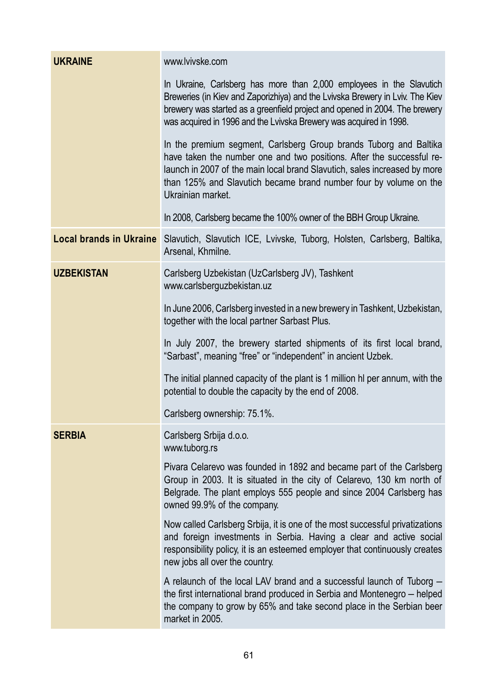| <b>UKRAINE</b>          | www.lvivske.com                                                                                                                                                                                                                                                                                                   |
|-------------------------|-------------------------------------------------------------------------------------------------------------------------------------------------------------------------------------------------------------------------------------------------------------------------------------------------------------------|
|                         | In Ukraine, Carlsberg has more than 2,000 employees in the Slavutich<br>Breweries (in Kiev and Zaporizhiya) and the Lvivska Brewery in Lviv. The Kiev<br>brewery was started as a greenfield project and opened in 2004. The brewery<br>was acquired in 1996 and the Lvivska Brewery was acquired in 1998.        |
|                         | In the premium segment, Carlsberg Group brands Tuborg and Baltika<br>have taken the number one and two positions. After the successful re-<br>launch in 2007 of the main local brand Slavutich, sales increased by more<br>than 125% and Slavutich became brand number four by volume on the<br>Ukrainian market. |
|                         | In 2008, Carlsberg became the 100% owner of the BBH Group Ukraine.                                                                                                                                                                                                                                                |
| Local brands in Ukraine | Slavutich, Slavutich ICE, Lvivske, Tuborg, Holsten, Carlsberg, Baltika,<br>Arsenal, Khmilne.                                                                                                                                                                                                                      |
| <b>UZBEKISTAN</b>       | Carlsberg Uzbekistan (UzCarlsberg JV), Tashkent<br>www.carlsberguzbekistan.uz                                                                                                                                                                                                                                     |
|                         | In June 2006, Carlsberg invested in a new brewery in Tashkent, Uzbekistan,<br>together with the local partner Sarbast Plus.                                                                                                                                                                                       |
|                         | In July 2007, the brewery started shipments of its first local brand,<br>"Sarbast", meaning "free" or "independent" in ancient Uzbek.                                                                                                                                                                             |
|                         | The initial planned capacity of the plant is 1 million hl per annum, with the<br>potential to double the capacity by the end of 2008.                                                                                                                                                                             |
|                         | Carlsberg ownership: 75.1%.                                                                                                                                                                                                                                                                                       |
| <b>SERBIA</b>           | Carlsberg Srbija d.o.o.<br>www.tuborg.rs                                                                                                                                                                                                                                                                          |
|                         | Pivara Celarevo was founded in 1892 and became part of the Carlsberg<br>Group in 2003. It is situated in the city of Celarevo, 130 km north of<br>Belgrade. The plant employs 555 people and since 2004 Carlsberg has<br>owned 99.9% of the company.                                                              |
|                         | Now called Carlsberg Srbija, it is one of the most successful privatizations<br>and foreign investments in Serbia. Having a clear and active social<br>responsibility policy, it is an esteemed employer that continuously creates<br>new jobs all over the country.                                              |
|                         | A relaunch of the local LAV brand and a successful launch of Tuborg -<br>the first international brand produced in Serbia and Montenegro - helped<br>the company to grow by 65% and take second place in the Serbian beer<br>market in 2005.                                                                      |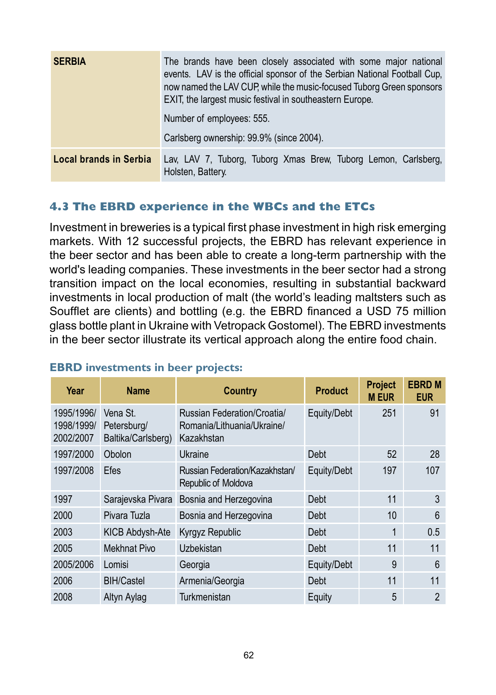| <b>SERBIA</b>          | The brands have been closely associated with some major national<br>events. LAV is the official sponsor of the Serbian National Football Cup.<br>now named the LAV CUP, while the music-focused Tuborg Green sponsors<br>EXIT, the largest music festival in southeastern Europe.<br>Number of employees: 555.<br>Carlsberg ownership: 99.9% (since 2004). |
|------------------------|------------------------------------------------------------------------------------------------------------------------------------------------------------------------------------------------------------------------------------------------------------------------------------------------------------------------------------------------------------|
| Local brands in Serbia | Lav, LAV 7, Tuborg, Tuborg Xmas Brew, Tuborg Lemon, Carlsberg,<br>Holsten, Battery.                                                                                                                                                                                                                                                                        |

# **4.3 The EBRD experience in the WBCs and the ETCs**

Investment in breweries is a typical first phase investment in high risk emerging markets. With 12 successful projects, the EBRD has relevant experience in the beer sector and has been able to create a long-term partnership with the world's leading companies. These investments in the beer sector had a strong transition impact on the local economies, resulting in substantial backward investments in local production of malt (the world's leading maltsters such as Soufflet are clients) and bottling (e.g. the EBRD financed a USD 75 million glass bottle plant in Ukraine with Vetropack Gostomel). The EBRD investments in the beer sector illustrate its vertical approach along the entire food chain.

| Year                                  | <b>Name</b>                                   | Country                                                                 | <b>Product</b> | <b>Project</b><br><b>MEUR</b> | <b>EBRD M</b><br><b>EUR</b> |
|---------------------------------------|-----------------------------------------------|-------------------------------------------------------------------------|----------------|-------------------------------|-----------------------------|
| 1995/1996/<br>1998/1999/<br>2002/2007 | Vena St.<br>Petersburg/<br>Baltika/Carlsberg) | Russian Federation/Croatia/<br>Romania/Lithuania/Ukraine/<br>Kazakhstan | Equity/Debt    | 251                           | 91                          |
| 1997/2000                             | Obolon                                        | Ukraine                                                                 | Debt           | 52                            | 28                          |
| 1997/2008                             | Efes                                          | Russian Federation/Kazakhstan/<br>Republic of Moldova                   | Equity/Debt    | 197                           | 107                         |
| 1997                                  | Sarajevska Pivara                             | Bosnia and Herzegovina                                                  | Debt           | 11                            | 3                           |
| 2000                                  | Pivara Tuzla                                  | Bosnia and Herzegovina                                                  | Debt           | 10                            | 6                           |
| 2003                                  | <b>KICB Abdysh-Ate</b>                        | Kyrgyz Republic                                                         | Debt           | 1                             | 0.5                         |
| 2005                                  | <b>Mekhnat Pivo</b>                           | Uzbekistan                                                              | Debt           | 11                            | 11                          |
| 2005/2006                             | Lomisi                                        | Georgia                                                                 | Equity/Debt    | 9                             | $6\overline{6}$             |
| 2006                                  | <b>BIH/Castel</b>                             | Armenia/Georgia                                                         | Debt           | 11                            | 11                          |
| 2008                                  | Altyn Aylag                                   | Turkmenistan                                                            | Equity         | 5                             | $\overline{2}$              |

#### **EBRD investments in beer projects:**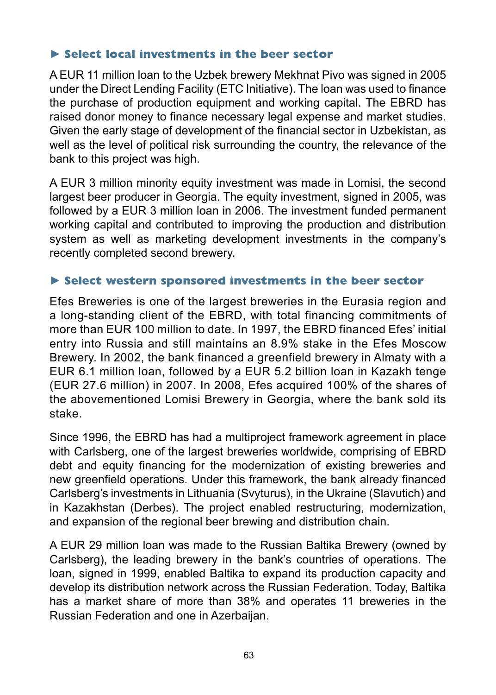# ► **Select local investments in the beer sector**

A EUR 11 million loan to the Uzbek brewery Mekhnat Pivo was signed in 2005 under the Direct Lending Facility (ETC Initiative). The loan was used to finance the purchase of production equipment and working capital. The EBRD has raised donor money to finance necessary legal expense and market studies. Given the early stage of development of the financial sector in Uzbekistan, as well as the level of political risk surrounding the country, the relevance of the bank to this project was high.

A EUR 3 million minority equity investment was made in Lomisi, the second largest beer producer in Georgia. The equity investment, signed in 2005, was followed by a EUR 3 million loan in 2006. The investment funded permanent working capital and contributed to improving the production and distribution system as well as marketing development investments in the company's recently completed second brewery.

# ► **Select western sponsored investments in the beer sector**

Efes Breweries is one of the largest breweries in the Eurasia region and a long-standing client of the EBRD, with total financing commitments of more than EUR 100 million to date. In 1997, the EBRD financed Efes' initial entry into Russia and still maintains an 8.9% stake in the Efes Moscow Brewery. In 2002, the bank financed a greenfield brewery in Almaty with a EUR 6.1 million loan, followed by a EUR 5.2 billion loan in Kazakh tenge (EUR 27.6 million) in 2007. In 2008, Efes acquired 100% of the shares of the abovementioned Lomisi Brewery in Georgia, where the bank sold its stake.

Since 1996, the EBRD has had a multiproject framework agreement in place with Carlsberg, one of the largest breweries worldwide, comprising of EBRD debt and equity financing for the modernization of existing breweries and new greenfield operations. Under this framework, the bank already financed Carlsberg's investments in Lithuania (Svyturus), in the Ukraine (Slavutich) and in Kazakhstan (Derbes). The project enabled restructuring, modernization, and expansion of the regional beer brewing and distribution chain.

A EUR 29 million loan was made to the Russian Baltika Brewery (owned by Carlsberg), the leading brewery in the bank's countries of operations. The loan. signed in 1999, enabled Baltika to expand its production capacity and develop its distribution network across the Russian Federation. Today, Baltika has a market share of more than 38% and operates 11 breweries in the Russian Federation and one in Azerbaijan.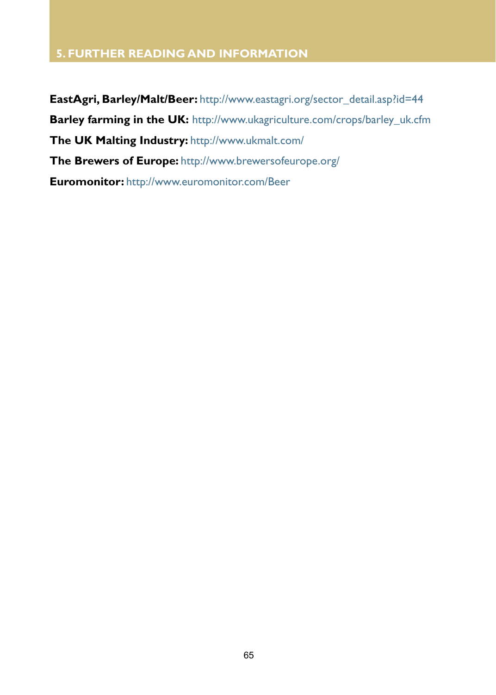# **5. FURTHER READING AND INFORMATION**

**EastAgri, Barley/Malt/Beer:** http://www.eastagri.org/sector\_detail.asp?id=44 **Barley farming in the UK:** http://www.ukagriculture.com/crops/barley\_uk.cfm **The UK Malting Industry:** http://www.ukmalt.com/ **The Brewers of Europe:** http://www.brewersofeurope.org/ **Euromonitor:** http://www.euromonitor.com/Beer